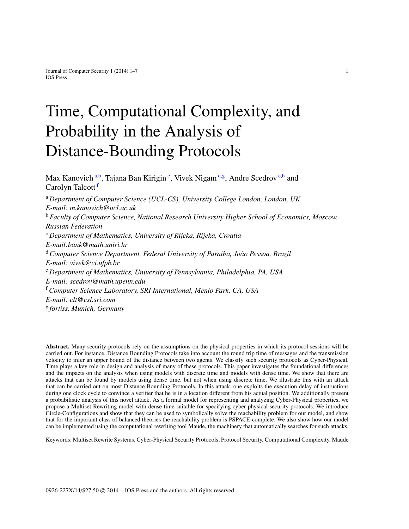# Time, Computational Complexity, and Probability in the Analysis of Distance-Bounding Protocols

<span id="page-0-0"></span>M[a](#page-0-0)x Kanovich <sup>a,[b](#page-0-1)</sup>, Tajana Ban Kirigin <sup>[c](#page-0-2)</sup>, Vivek Nigam <sup>[d](#page-0-3),[g](#page-0-4)</sup>, Andr[e](#page-0-5) Scedrov <sup>e,b</sup> and Carolyn Talcott [f](#page-0-6)

<span id="page-0-5"></span><span id="page-0-3"></span><span id="page-0-2"></span><span id="page-0-1"></span><sup>a</sup> *Department of Computer Science (UCL-CS), University College London, London, UK E-mail: m.kanovich@ucl.ac.uk* <sup>b</sup> *Faculty of Computer Science, National Research University Higher School of Economics, Moscow, Russian Federation* <sup>c</sup> *Department of Mathematics, University of Rijeka, Rijeka, Croatia E-mail:bank@math.uniri.hr* <sup>d</sup> *Computer Science Department, Federal University of Paraíba, João Pessoa, Brazil E-mail: vivek@ci.ufpb.br* <sup>e</sup> *Department of Mathematics, University of Pennsylvania, Philadelphia, PA, USA E-mail: scedrov@math.upenn.edu* <sup>f</sup> *Computer Science Laboratory, SRI International, Menlo Park, CA, USA E-mail: clt@csl.sri.com* g *fortiss, Munich, Germany*

<span id="page-0-6"></span><span id="page-0-4"></span>Abstract. Many security protocols rely on the assumptions on the physical properties in which its protocol sessions will be carried out. For instance, Distance Bounding Protocols take into account the round trip time of messages and the transmission velocity to infer an upper bound of the distance between two agents. We classify such security protocols as Cyber-Physical. Time plays a key role in design and analysis of many of these protocols. This paper investigates the foundational differences and the impacts on the analysis when using models with discrete time and models with dense time. We show that there are attacks that can be found by models using dense time, but not when using discrete time. We illustrate this with an attack that can be carried out on most Distance Bounding Protocols. In this attack, one exploits the execution delay of instructions during one clock cycle to convince a verifier that he is in a location different from his actual position. We additionally present a probabilistic analysis of this novel attack. As a formal model for representing and analyzing Cyber-Physical properties, we propose a Multiset Rewriting model with dense time suitable for specifying cyber-physical security protocols. We introduce Circle-Configurations and show that they can be used to symbolically solve the reachability problem for our model, and show that for the important class of balanced theories the reachability problem is PSPACE-complete. We also show how our model can be implemented using the computational rewriting tool Maude, the machinery that automatically searches for such attacks.

Keywords: Multiset Rewrite Systems, Cyber-Physical Security Protocols, Protocol Security, Computational Complexity, Maude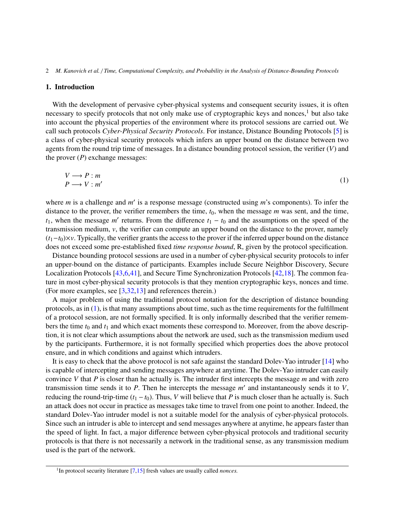# 1. Introduction

With the development of pervasive cyber-physical systems and consequent security issues, it is often necessary to specify protocols that not only make use of cryptographic keys and nonces,<sup>1</sup> but also take into account the physical properties of the environment where its protocol sessions are carried out. We call such protocols *Cyber-Physical Security Protocols*. For instance, Distance Bounding Protocols [\[5\]](#page-44-0) is a class of cyber-physical security protocols which infers an upper bound on the distance between two agents from the round trip time of messages. In a distance bounding protocol session, the verifier (*V*) and the prover (*P*) exchange messages:

<span id="page-1-0"></span>
$$
V \longrightarrow P : m
$$
  
 
$$
P \longrightarrow V : m'
$$
 (1)

where  $m$  is a challenge and  $m'$  is a response message (constructed using  $m$ 's components). To infer the distance to the prover, the verifier remembers the time,  $t_0$ , when the message  $m$  was sent, and the time,  $t_1$ , when the message *m'* returns. From the difference  $t_1 - t_0$  and the assumptions on the speed of the transmission medium,  $v$ , the verifier can compute an upper bound on the distance to the prover, namely (*t*1−*t*0)×*v*. Typically, the verifier grants the access to the prover if the inferred upper bound on the distance does not exceed some pre-established fixed *time response bound*, R, given by the protocol specification.

Distance bounding protocol sessions are used in a number of cyber-physical security protocols to infer an upper-bound on the distance of participants. Examples include Secure Neighbor Discovery, Secure Localization Protocols [\[43,](#page-46-0)[6,](#page-44-1)[41\]](#page-46-1), and Secure Time Synchronization Protocols [\[42](#page-46-2)[,18\]](#page-45-0). The common feature in most cyber-physical security protocols is that they mention cryptographic keys, nonces and time. (For more examples, see [\[3](#page-44-2)[,32,](#page-45-1)[13\]](#page-45-2) and references therein.)

A major problem of using the traditional protocol notation for the description of distance bounding protocols, as in [\(1\)](#page-1-0), is that many assumptions about time, such as the time requirements for the fulfillment of a protocol session, are not formally specified. It is only informally described that the verifier remembers the time  $t_0$  and  $t_1$  and which exact moments these correspond to. Moreover, from the above description, it is not clear which assumptions about the network are used, such as the transmission medium used by the participants. Furthermore, it is not formally specified which properties does the above protocol ensure, and in which conditions and against which intruders.

It is easy to check that the above protocol is not safe against the standard Dolev-Yao intruder [\[14\]](#page-45-3) who is capable of intercepting and sending messages anywhere at anytime. The Dolev-Yao intruder can easily convince *V* that *P* is closer than he actually is. The intruder first intercepts the message *m* and with zero transmission time sends it to  $P$ . Then he intercepts the message  $m'$  and instantaneously sends it to  $V$ , reducing the round-trip-time  $(t_1 - t_0)$ . Thus, *V* will believe that *P* is much closer than he actually is. Such an attack does not occur in practice as messages take time to travel from one point to another. Indeed, the standard Dolev-Yao intruder model is not a suitable model for the analysis of cyber-physical protocols. Since such an intruder is able to intercept and send messages anywhere at anytime, he appears faster than the speed of light. In fact, a major difference between cyber-physical protocols and traditional security protocols is that there is not necessarily a network in the traditional sense, as any transmission medium used is the part of the network.

<sup>&</sup>lt;sup>1</sup>In protocol security literature [\[7,](#page-44-3)[15\]](#page-45-4) fresh values are usually called *nonces*.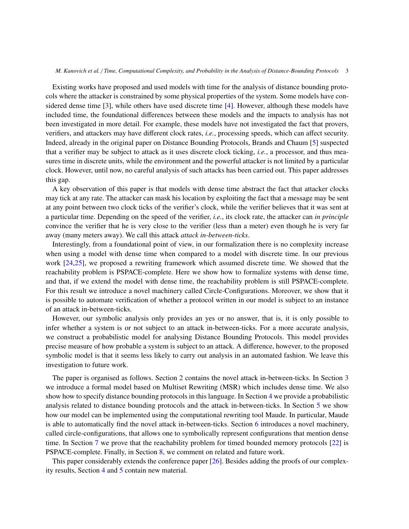Existing works have proposed and used models with time for the analysis of distance bounding protocols where the attacker is constrained by some physical properties of the system. Some models have considered dense time [\[3\]](#page-44-2), while others have used discrete time [\[4\]](#page-44-4). However, although these models have included time, the foundational differences between these models and the impacts to analysis has not been investigated in more detail. For example, these models have not investigated the fact that provers, verifiers, and attackers may have different clock rates, *i.e.*, processing speeds, which can affect security. Indeed, already in the original paper on Distance Bounding Protocols, Brands and Chaum [\[5\]](#page-44-0) suspected that a verifier may be subject to attack as it uses discrete clock ticking, *i.e.*, a processor, and thus measures time in discrete units, while the environment and the powerful attacker is not limited by a particular clock. However, until now, no careful analysis of such attacks has been carried out. This paper addresses this gap.

A key observation of this paper is that models with dense time abstract the fact that attacker clocks may tick at any rate. The attacker can mask his location by exploiting the fact that a message may be sent at any point between two clock ticks of the verifier's clock, while the verifier believes that it was sent at a particular time. Depending on the speed of the verifier, *i.e.*, its clock rate, the attacker can *in principle* convince the verifier that he is very close to the verifier (less than a meter) even though he is very far away (many meters away). We call this attack *attack in-between-ticks*.

Interestingly, from a foundational point of view, in our formalization there is no complexity increase when using a model with dense time when compared to a model with discrete time. In our previous work [\[24](#page-45-5)[,25\]](#page-45-6), we proposed a rewriting framework which assumed discrete time. We showed that the reachability problem is PSPACE-complete. Here we show how to formalize systems with dense time, and that, if we extend the model with dense time, the reachability problem is still PSPACE-complete. For this result we introduce a novel machinery called Circle-Configurations. Moreover, we show that it is possible to automate verification of whether a protocol written in our model is subject to an instance of an attack in-between-ticks.

However, our symbolic analysis only provides an yes or no answer, that is, it is only possible to infer whether a system is or not subject to an attack in-between-ticks. For a more accurate analysis, we construct a probabilistic model for analysing Distance Bounding Protocols. This model provides precise measure of how probable a system is subject to an attack. A difference, however, to the proposed symbolic model is that it seems less likely to carry out analysis in an automated fashion. We leave this investigation to future work.

The paper is organised as follows. Section [2](#page-3-0) contains the novel attack in-between-ticks. In Section [3](#page-7-0) we introduce a formal model based on Multiset Rewriting (MSR) which includes dense time. We also show how to specify distance bounding protocols in this language. In Section [4](#page-19-0) we provide a probabilistic analysis related to distance bounding protocols and the attack in-between-ticks. In Section [5](#page-25-0) we show how our model can be implemented using the computational rewriting tool Maude. In particular, Maude is able to automatically find the novel attack in-between-ticks. Section [6](#page-28-0) introduces a novel machinery, called circle-configurations, that allows one to symbolically represent configurations that mention dense time. In Section [7](#page-38-0) we prove that the reachability problem for timed bounded memory protocols [\[22\]](#page-45-7) is PSPACE-complete. Finally, in Section [8,](#page-42-0) we comment on related and future work.

This paper considerably extends the conference paper  $[26]$ . Besides adding the proofs of our complexity results, Section [4](#page-19-0) and [5](#page-25-0) contain new material.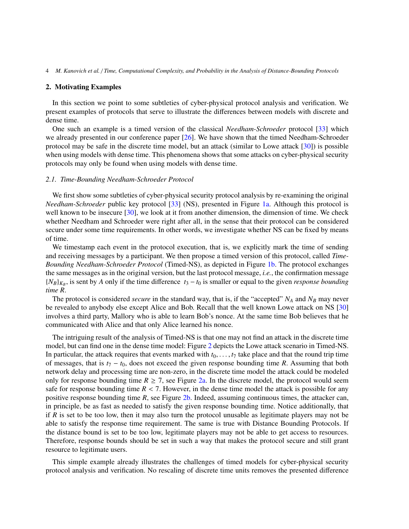# <span id="page-3-0"></span>2. Motivating Examples

In this section we point to some subtleties of cyber-physical protocol analysis and verification. We present examples of protocols that serve to illustrate the differences between models with discrete and dense time.

One such an example is a timed version of the classical *Needham-Schroeder* protocol [\[33\]](#page-45-9) which we already presented in our conference paper [\[26\]](#page-45-8). We have shown that the timed Needham-Schroeder protocol may be safe in the discrete time model, but an attack (similar to Lowe attack [\[30\]](#page-45-10)) is possible when using models with dense time. This phenomena shows that some attacks on cyber-physical security protocols may only be found when using models with dense time.

# *2.1. Time-Bounding Needham-Schroeder Protocol*

We first show some subtleties of cyber-physical security protocol analysis by re-examining the original *Needham-Schroeder* public key protocol [\[33\]](#page-45-9) (NS), presented in Figure [1a.](#page-4-0) Although this protocol is well known to be insecure [\[30\]](#page-45-10), we look at it from another dimension, the dimension of time. We check whether Needham and Schroeder were right after all, in the sense that their protocol can be considered secure under some time requirements. In other words, we investigate whether NS can be fixed by means of time.

We timestamp each event in the protocol execution, that is, we explicitly mark the time of sending and receiving messages by a participant. We then propose a timed version of this protocol, called *Time-Bounding Needham-Schroeder Protocol* (Timed-NS), as depicted in Figure [1b.](#page-4-0) The protocol exchanges the same messages as in the original version, but the last protocol message, *i.e.*, the confirmation message  ${N_B}_{K_B}$ , is sent by *A* only if the time difference  $t_3 - t_0$  is smaller or equal to the given *response bounding time R*.

The protocol is considered *secure* in the standard way, that is, if the "accepted" *N<sup>A</sup>* and *N<sup>B</sup>* may never be revealed to anybody else except Alice and Bob. Recall that the well known Lowe attack on NS [\[30\]](#page-45-10) involves a third party, Mallory who is able to learn Bob's nonce. At the same time Bob believes that he communicated with Alice and that only Alice learned his nonce.

The intriguing result of the analysis of Timed-NS is that one may not find an attack in the discrete time model, but can find one in the dense time model: Figure [2](#page-4-0) depicts the Lowe attack scenario in Timed-NS. In particular, the attack requires that events marked with  $t_0, \ldots, t_7$  take place and that the round trip time of messages, that is  $t_7 - t_0$ , does not exceed the given response bounding time *R*. Assuming that both network delay and processing time are non-zero, in the discrete time model the attack could be modeled only for response bounding time  $R \ge 7$ , see Figure [2a.](#page-4-0) In the discrete model, the protocol would seem safe for response bounding time  $R < 7$ . However, in the dense time model the attack is possible for any positive response bounding time *R*, see Figure [2b.](#page-4-0) Indeed, assuming continuous times, the attacker can, in principle, be as fast as needed to satisfy the given response bounding time. Notice additionally, that if  $R$  is set to be too low, then it may also turn the protocol unusable as legitimate players may not be able to satisfy the response time requirement. The same is true with Distance Bounding Protocols. If the distance bound is set to be too low, legitimate players may not be able to get access to resources. Therefore, response bounds should be set in such a way that makes the protocol secure and still grant resource to legitimate users.

This simple example already illustrates the challenges of timed models for cyber-physical security protocol analysis and verification. No rescaling of discrete time units removes the presented difference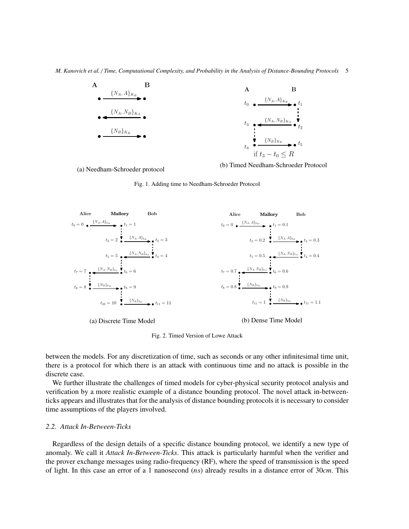<span id="page-4-0"></span>*M. Kanovich et al.* / *Time, Computational Complexity, and Probability in the Analysis of Distance-Bounding Protocols* 5



(b) Timed Needham-Schroeder Protocol

(a) Needham-Schroeder protocol

Fig. 1. Adding time to Needham-Schroeder Protocol



(a) Discrete Time Model

(b) Dense Time Model

Fig. 2. Timed Version of Lowe Attack

between the models. For any discretization of time, such as seconds or any other infinitesimal time unit, there is a protocol for which there is an attack with continuous time and no attack is possible in the discrete case.

We further illustrate the challenges of timed models for cyber-physical security protocol analysis and verification by a more realistic example of a distance bounding protocol. The novel attack in-betweenticks appears and illustrates that for the analysis of distance bounding protocols it is necessary to consider time assumptions of the players involved.

# <span id="page-4-1"></span>*2.2. Attack In-Between-Ticks*

Regardless of the design details of a specific distance bounding protocol, we identify a new type of anomaly. We call it *Attack In-Between-Ticks*. This attack is particularly harmful when the verifier and the prover exchange messages using radio-frequency (RF), where the speed of transmission is the speed of light. In this case an error of a 1 nanosecond (*ns*) already results in a distance error of 30*cm*. This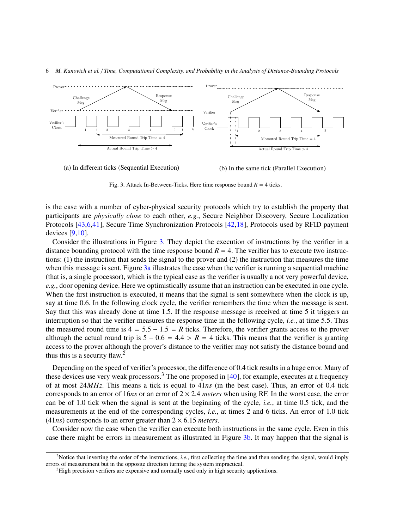<span id="page-5-0"></span>

Fig. 3. Attack In-Between-Ticks. Here time response bound  $R = 4$  ticks.

is the case with a number of cyber-physical security protocols which try to establish the property that participants are *physically close* to each other, *e.g.*, Secure Neighbor Discovery, Secure Localization Protocols [\[43](#page-46-0)[,6,](#page-44-1)[41\]](#page-46-1), Secure Time Synchronization Protocols [\[42](#page-46-2)[,18\]](#page-45-0), Protocols used by RFID payment devices [\[9,](#page-44-5)[10\]](#page-44-6).

Consider the illustrations in Figure [3.](#page-5-0) They depict the execution of instructions by the verifier in a distance bounding protocol with the time response bound  $R = 4$ . The verifier has to execute two instructions: (1) the instruction that sends the signal to the prover and (2) the instruction that measures the time when this message is sent. Figure [3a](#page-5-0) illustrates the case when the verifier is running a sequential machine (that is, a single processor), which is the typical case as the verifier is usually a not very powerful device, *e.g.*, door opening device. Here we optimistically assume that an instruction can be executed in one cycle. When the first instruction is executed, it means that the signal is sent somewhere when the clock is up, say at time 0.6. In the following clock cycle, the verifier remembers the time when the message is sent. Say that this was already done at time 1.5. If the response message is received at time 5 it triggers an interruption so that the verifier measures the response time in the following cycle, *i.e.*, at time 5.5. Thus the measured round time is  $4 = 5.5 - 1.5 = R$  ticks. Therefore, the verifier grants access to the prover although the actual round trip is  $5 - 0.6 = 4.4 > R = 4$  ticks. This means that the verifier is granting access to the prover although the prover's distance to the verifier may not satisfy the distance bound and thus this is a security flaw.<sup>2</sup>

Depending on the speed of verifier's processor, the difference of 0.4 tick results in a huge error. Many of these devices use very weak processors.<sup>3</sup> The one proposed in [\[40\]](#page-45-11), for example, executes at a frequency of at most 24*MHz*. This means a tick is equal to 41*ns* (in the best case). Thus, an error of 0.4 tick corresponds to an error of 16*ns* or an error of 2 <sup>×</sup> <sup>2</sup>.<sup>4</sup> *meters* when using RF. In the worst case, the error can be of 1.0 tick when the signal is sent at the beginning of the cycle, *i.e.*, at time 0.5 tick, and the measurements at the end of the corresponding cycles, *i.e.*, at times 2 and 6 ticks. An error of 1.0 tick  $(41ns)$  corresponds to an error greater than  $2 \times 6.15$  *meters*.

Consider now the case when the verifier can execute both instructions in the same cycle. Even in this case there might be errors in measurement as illustrated in Figure [3b.](#page-5-0) It may happen that the signal is

<sup>2</sup>Notice that inverting the order of the instructions, *i.e.*, first collecting the time and then sending the signal, would imply errors of measurement but in the opposite direction turning the system impractical.

<sup>&</sup>lt;sup>3</sup>High precision verifiers are expensive and normally used only in high security applications.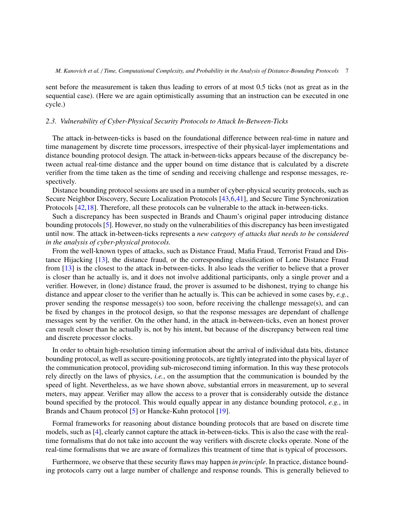sent before the measurement is taken thus leading to errors of at most 0.5 ticks (not as great as in the sequential case). (Here we are again optimistically assuming that an instruction can be executed in one cycle.)

# *2.3. Vulnerability of Cyber-Physical Security Protocols to Attack In-Between-Ticks*

The attack in-between-ticks is based on the foundational difference between real-time in nature and time management by discrete time processors, irrespective of their physical-layer implementations and distance bounding protocol design. The attack in-between-ticks appears because of the discrepancy between actual real-time distance and the upper bound on time distance that is calculated by a discrete verifier from the time taken as the time of sending and receiving challenge and response messages, respectively.

Distance bounding protocol sessions are used in a number of cyber-physical security protocols, such as Secure Neighbor Discovery, Secure Localization Protocols [\[43,](#page-46-0)[6,](#page-44-1)[41\]](#page-46-1), and Secure Time Synchronization Protocols [\[42,](#page-46-2)[18\]](#page-45-0). Therefore, all these protocols can be vulnerable to the attack in-between-ticks.

Such a discrepancy has been suspected in Brands and Chaum's original paper introducing distance bounding protocols [\[5\]](#page-44-0). However, no study on the vulnerabilities of this discrepancy has been investigated until now. The attack in-between-ticks represents a *new category of attacks that needs to be considered in the analysis of cyber-physical protocols.*

From the well-known types of attacks, such as Distance Fraud, Mafia Fraud, Terrorist Fraud and Distance Hijacking [\[13\]](#page-45-2), the distance fraud, or the corresponding classification of Lone Distance Fraud from [\[13\]](#page-45-2) is the closest to the attack in-between-ticks. It also leads the verifier to believe that a prover is closer than he actually is, and it does not involve additional participants, only a single prover and a verifier. However, in (lone) distance fraud, the prover is assumed to be dishonest, trying to change his distance and appear closer to the verifier than he actually is. This can be achieved in some cases by, *e.g.*, prover sending the response message(s) too soon, before receiving the challenge message(s), and can be fixed by changes in the protocol design, so that the response messages are dependant of challenge messages sent by the verifier. On the other hand, in the attack in-between-ticks, even an honest prover can result closer than he actually is, not by his intent, but because of the discrepancy between real time and discrete processor clocks.

In order to obtain high-resolution timing information about the arrival of individual data bits, distance bounding protocol, as well as secure-positioning protocols, are tightly integrated into the physical layer of the communication protocol, providing sub-microsecond timing information. In this way these protocols rely directly on the laws of physics, *i.e.*, on the assumption that the communication is bounded by the speed of light. Nevertheless, as we have shown above, substantial errors in measurement, up to several meters, may appear. Verifier may allow the access to a prover that is considerably outside the distance bound specified by the protocol. This would equally appear in any distance bounding protocol, *e.g.*, in Brands and Chaum protocol [\[5\]](#page-44-0) or Hancke-Kuhn protocol [\[19\]](#page-45-12).

Formal frameworks for reasoning about distance bounding protocols that are based on discrete time models, such as [\[4\]](#page-44-4), clearly cannot capture the attack in-between-ticks. This is also the case with the realtime formalisms that do not take into account the way verifiers with discrete clocks operate. None of the real-time formalisms that we are aware of formalizes this treatment of time that is typical of processors.

Furthermore, we observe that these security flaws may happen *in principle*. In practice, distance bounding protocols carry out a large number of challenge and response rounds. This is generally believed to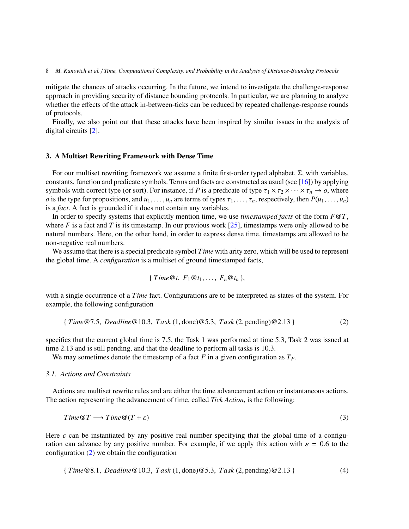mitigate the chances of attacks occurring. In the future, we intend to investigate the challenge-response approach in providing security of distance bounding protocols. In particular, we are planning to analyze whether the effects of the attack in-between-ticks can be reduced by repeated challenge-response rounds of protocols.

Finally, we also point out that these attacks have been inspired by similar issues in the analysis of digital circuits [\[2\]](#page-44-7).

# <span id="page-7-0"></span>3. A Multiset Rewriting Framework with Dense Time

For our multiset rewriting framework we assume a finite first-order typed alphabet, Σ, with variables, constants, function and predicate symbols. Terms and facts are constructed as usual (see [\[16\]](#page-45-13)) by applying symbols with correct type (or sort). For instance, if *P* is a predicate of type  $\tau_1 \times \tau_2 \times \cdots \times \tau_n \to o$ , where *o* is the type for propositions, and  $u_1, \ldots, u_n$  are terms of types  $\tau_1, \ldots, \tau_n$ , respectively, then  $P(u_1, \ldots, u_n)$ is a *fact*. A fact is grounded if it does not contain any variables.

In order to specify systems that explicitly mention time, we use *timestamped facts* of the form *F*@*T*, where *F* is a fact and *T* is its timestamp. In our previous work [\[25\]](#page-45-6), timestamps were only allowed to be natural numbers. Here, on the other hand, in order to express dense time, timestamps are allowed to be non-negative real numbers.

We assume that there is a special predicate symbol *Time* with arity zero, which will be used to represent the global time. A *configuration* is a multiset of ground timestamped facts,

<span id="page-7-3"></span><span id="page-7-1"></span>
$$
\{Time@t, F_1@t_1, \ldots, F_n@t_n\},\
$$

with a single occurrence of a *Time* fact. Configurations are to be interpreted as states of the system. For example, the following configuration

$$
\{Time@7.5, Deadline@10.3, Task(1, done)@5.3, Task(2, pending)@2.13\}
$$
 (2)

specifies that the current global time is 7.5, the Task 1 was performed at time 5.3, Task 2 was issued at time 2.13 and is still pending, and that the deadline to perform all tasks is 10.3.

We may sometimes denote the timestamp of a fact  $F$  in a given configuration as  $T_F$ .

# <span id="page-7-4"></span>*3.1. Actions and Constraints*

Actions are multiset rewrite rules and are either the time advancement action or instantaneous actions. The action representing the advancement of time, called *Tick Action*, is the following:

$$
Time@T \longrightarrow Time@(T + \varepsilon)
$$
\n<sup>(3)</sup>

Here  $\varepsilon$  can be instantiated by any positive real number specifying that the global time of a configuration can advance by any positive number. For example, if we apply this action with  $\varepsilon = 0.6$  to the configuration [\(2\)](#page-7-1) we obtain the configuration

<span id="page-7-2"></span>
$$
\{Time@8.1, Deadline@10.3, Task(1, done)@5.3, Task(2, pending)@2.13\}
$$
 (4)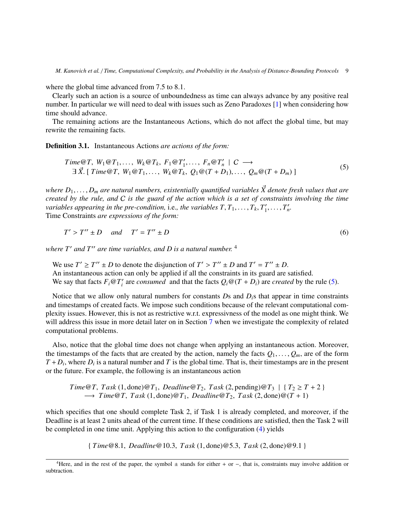where the global time advanced from 7.5 to 8.1.

Clearly such an action is a source of unboundedness as time can always advance by any positive real number. In particular we will need to deal with issues such as Zeno Paradoxes [\[1\]](#page-44-8) when considering how time should advance.

The remaining actions are the Instantaneous Actions, which do not affect the global time, but may rewrite the remaining facts.

Definition 3.1. Instantaneous Actions *are actions of the form:*

<span id="page-8-0"></span>
$$
Time@T, W_1@T_1, \ldots, W_k@T_k, F_1@T'_1, \ldots, F_n@T'_n \mid C \longrightarrow
$$
  

$$
\exists \vec{X}. [Time@T, W_1@T_1, \ldots, W_k@T_k, Q_1@(T + D_1), \ldots, Q_m@(T + D_m)]
$$
\n(5)

*where*  $D_1, \ldots, D_m$  *are natural numbers, existentially quantified variables*  $\vec{X}$  *denote fresh values that are created by the rule, and* C *is the guard of the action which is a set of constraints involving the time variables appearing in the pre-condition, i.e., the variables*  $T, T_1, \ldots, T_k, T'_1$ *<br>Time Constraints <i>are expressions of the form*:  $T'_{1}, \ldots, T'_{n}.$ Time Constraints *are expressions of the form:*

<span id="page-8-1"></span>
$$
T' > T'' \pm D \quad and \quad T' = T'' \pm D \tag{6}
$$

*where T' and T'' are time variables, and D is a natural number.*<sup>4</sup>

We use  $T' \geq T'' \pm D$  to denote the disjunction of  $T' > T'' \pm D$  and  $T' = T'' \pm D$ .<br>An instantaneous action can only be applied if all the constraints in its guard are An instantaneous action can only be applied if all the constraints in its guard are satisfied. We say that facts  $F_i @ T'_i$ *i*<sub>i</sub> are *consumed* and that the facts  $Q_i @ (T + D_i)$  are *created* by the rule [\(5\)](#page-8-0).

Notice that we allow only natural numbers for constants *D*s and *Di*s that appear in time constraints and timestamps of created facts. We impose such conditions because of the relevant computational complexity issues. However, this is not as restrictive w.r.t. expressivness of the model as one might think. We will address this issue in more detail later on in Section [7](#page-38-0) when we investigate the complexity of related computational problems.

Also, notice that the global time does not change when applying an instantaneous action. Moreover, the timestamps of the facts that are created by the action, namely the facts  $Q_1, \ldots, Q_m$ , are of the form  $T + D_i$ , where  $D_i$  is a natural number and *T* is the global time. That is, their timestamps are in the present or the future. For example, the following is an instantaneous action

*Time*@*T*, *Task* (1, done)@*T*<sub>1</sub>, *Deadline*@*T*<sub>2</sub>, *Task* (2, pending)@*T*<sub>3</sub> | { $T_2 \geq T + 2$ }  $\longrightarrow$  *Time* @ *T*, *Task* (1, done) @ *T*<sub>1</sub>, *Deadline* @ *T*<sub>2</sub>, *Task* (2, done) @ (*T* + 1)

which specifies that one should complete Task 2, if Task 1 is already completed, and moreover, if the Deadline is at least 2 units ahead of the current time. If these conditions are satisfied, then the Task 2 will be completed in one time unit. Applying this action to the configuration [\(4\)](#page-7-2) yields

{ *Time*@8.1, *Deadline*@10.3, *T ask* (1, done)@5.3, *T ask* (2, done)@9.<sup>1</sup> }

<sup>&</sup>lt;sup>4</sup>Here, and in the rest of the paper, the symbol  $\pm$  stands for either + or  $-$ , that is, constraints may involve addition or subtraction.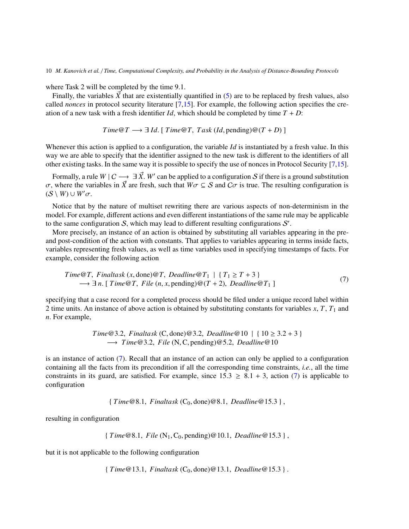where Task 2 will be completed by the time 9.1.

Finally, the variables  $\vec{X}$  that are existentially quantified in [\(5\)](#page-8-0) are to be replaced by fresh values, also called *nonces* in protocol security literature [\[7,](#page-44-3)[15\]](#page-45-4). For example, the following action specifies the creation of a new task with a fresh identifier *Id*, which should be completed by time  $T + D$ :

 $Time@T \longrightarrow \exists Id.$  [ *Time*  $@T$ , *Task* (*Id*, pending) $@(T + D)$  ]

Whenever this action is applied to a configuration, the variable *Id* is instantiated by a fresh value. In this way we are able to specify that the identifier assigned to the new task is different to the identifiers of all other existing tasks. In the same way it is possible to specify the use of nonces in Protocol Security [\[7,](#page-44-3)[15\]](#page-45-4).

Formally, a rule *W*  $|C \rightarrow \exists \vec{X}$ . *W'* can be applied to a configuration *S* if there is a ground substitution where the variables in  $\vec{X}$  are fresh, such that  $W \subset C$ . *S* and  $C \subset \vec{X}$  is true. The resulting config σ, where the variables in *<sup>X</sup>*<sup>~</sup> are fresh, such that *<sup>W</sup>*<sup>σ</sup> ⊆ S and <sup>C</sup><sup>σ</sup> is true. The resulting configuration is  $(S \setminus W) \cup W' \sigma$ .

Notice that by the nature of multiset rewriting there are various aspects of non-determinism in the model. For example, different actions and even different instantiations of the same rule may be applicable to the same configuration  $S$ , which may lead to different resulting configurations  $S'$ .

More precisely, an instance of an action is obtained by substituting all variables appearing in the preand post-condition of the action with constants. That applies to variables appearing in terms inside facts, variables representing fresh values, as well as time variables used in specifying timestamps of facts. For example, consider the following action

<span id="page-9-0"></span>
$$
Time@T, Finaltask (x, done)@T, Deadline@T1 | {T1 \ge T + 3}
$$
  
\n
$$
\longrightarrow \exists n. [Time@T, File (n, x, pending)@(T + 2), Deadline@T1]
$$
\n(7)

specifying that a case record for a completed process should be filed under a unique record label within 2 time units. An instance of above action is obtained by substituting constants for variables  $x$ ,  $T$ ,  $T_1$  and *n*. For example,

> *Time*@3.2, *Finaltask* (C, done)@3.2, *Deadline*@10 | { <sup>10</sup> <sup>≥</sup> <sup>3</sup>.<sup>2</sup> <sup>+</sup> <sup>3</sup> } −→ *Time*@3.2, *File* (N,C, pending)@5.2, *Deadline*@10

is an instance of action [\(7\)](#page-9-0). Recall that an instance of an action can only be applied to a configuration containing all the facts from its precondition if all the corresponding time constraints, *i.e.*, all the time constraints in its guard, are satisfied. For example, since  $15.3 \geq 8.1 + 3$ , action [\(7\)](#page-9-0) is applicable to configuration

{ *Time*@8.1, *Finaltask* (C0, done)@8.1, *Deadline*@15.<sup>3</sup> } ,

resulting in configuration

{
$$
Time@8.1, File(N_1, C_0, pending)@10.1, Deadline@15.3},
$$

but it is not applicable to the following configuration

```
{ Time@13.1, Finaltask (C0, done)@13.1, Deadline@15.3 } .
```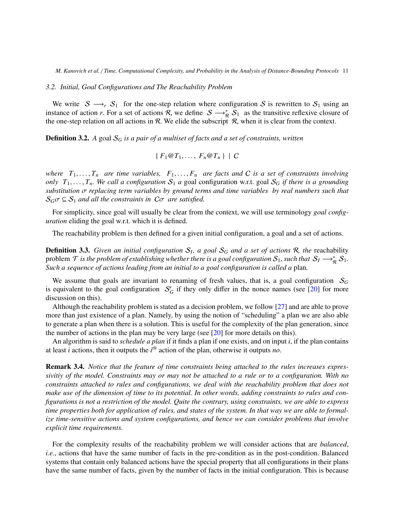# *3.2. Initial, Goal Configurations and The Reachability Problem*

We write  $S \rightarrow r S_1$  for the one-step relation where configuration S is rewritten to  $S_1$  using an instance of action *r*. For a set of actions R, we define  $S \rightarrow_{\mathcal{R}}^* S_1$  as the transitive reflexive closure of the one-step relation on all actions in  $R$ . We elide the subscript  $R$ , when it is clear from the context.

Definition 3.2. *A* goal S*<sup>G</sup> is a pair of a multiset of facts and a set of constraints, written*

$$
\{F_1@T_1,\ldots,F_n@T_n\}\mid C
$$

*where*  $T_1, \ldots, T_n$  *are time variables,*  $F_1, \ldots, F_n$  *are facts and* C *is a set of constraints involving only*  $T_1, \ldots, T_n$ *. We call a configuration*  $S_1$  *a* goal configuration w.r.t. goal  $S_G$  *if there is a grounding substitution* σ *replacing term variables by ground terms and time variables by real numbers such that*  $S_G \sigma \subseteq S_1$  *and all the constraints in*  $C \sigma$  *are satisfied.* 

For simplicity, since goal will usually be clear from the context, we will use terminology *goal configuration* eliding the goal w.r.t. which it is defined.

The reachability problem is then defined for a given initial configuration, a goal and a set of actions.

Definition 3.3. *Given an initial configuration* S*<sup>I</sup> , a goal* S*<sup>G</sup> and a set of actions* R*, the* reachability problem  $\mathcal T$  *is the problem of establishing whether there is a goal configuration*  $\mathcal S_1$ *, such that*  $\mathcal S_I \longrightarrow^*_\mathcal R \mathcal S_1$ *. Such a sequence of actions leading from an initial to a goal configuration is called a* plan*.*

We assume that goals are invariant to renaming of fresh values, that is, a goal configuration  $S_G$ is equivalent to the goal configuration  $S'$  $'_{G}$  if they only differ in the nonce names (see [\[20\]](#page-45-14) for more discussion on this).

Although the reachability problem is stated as a decision problem, we follow [\[27\]](#page-45-15) and are able to prove more than just existence of a plan. Namely, by using the notion of "scheduling" a plan we are also able to generate a plan when there is a solution. This is useful for the complexity of the plan generation, since the number of actions in the plan may be very large (see [\[20\]](#page-45-14) for more details on this).

An algorithm is said to *schedule a plan* if it finds a plan if one exists, and on input *i*, if the plan contains at least *i* actions, then it outputs the *i th* action of the plan, otherwise it outputs *no*.

Remark 3.4. *Notice that the feature of time constraints being attached to the rules increases expressivitiy of the model. Constraints may or may not be attached to a rule or to a configuration. With no constraints attached to rules and configurations, we deal with the reachability problem that does not make use of the dimension of time to its potential. In other words, adding constraints to rules and configurations is not a restriction of the model. Quite the contrary, using constraints, we are able to express time properties both for application of rules, and states of the system. In that way we are able to formalize time-sensitive actions and system configurations, and hence we can consider problems that involve explicit time requirements.*

For the complexity results of the reachability problem we will consider actions that are *balanced*, *i.e.*, actions that have the same number of facts in the pre-condition as in the post-condition. Balanced systems that contain only balanced actions have the special property that all configurations in their plans have the same number of facts, given by the number of facts in the initial configuration. This is because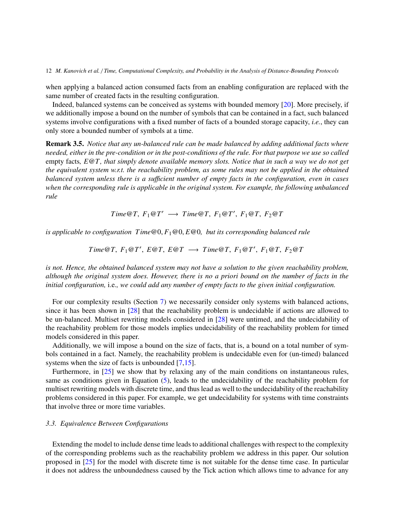when applying a balanced action consumed facts from an enabling configuration are replaced with the same number of created facts in the resulting configuration.

Indeed, balanced systems can be conceived as systems with bounded memory [\[20\]](#page-45-14). More precisely, if we additionally impose a bound on the number of symbols that can be contained in a fact, such balanced systems involve configurations with a fixed number of facts of a bounded storage capacity, *i.e.*, they can only store a bounded number of symbols at a time.

Remark 3.5. *Notice that any un-balanced rule can be made balanced by adding additional facts where needed, either in the pre-condition or in the post-conditions of the rule. For that purpose we use so called* empty facts*, E*@*T, that simply denote available memory slots. Notice that in such a way we do not get the equivalent system w.r.t. the reachability problem, as some rules may not be applied in the obtained balanced system unless there is a su*ffi*cient number of empty facts in the configuration, even in cases when the corresponding rule is applicable in the original system. For example, the following unbalanced rule*

 $Time@T, F_1@T' \longrightarrow Time@T, F_1@T', F_1@T, F_2@T$ 

*is applicable to configuration Time*@0, *<sup>F</sup>*1@0, *<sup>E</sup>*@0*, but its corresponding balanced rule*

 $Time@T, F_1@T', E@T, E@T \longrightarrow Time@T, F_1@T', F_1@T, F_2@T$ 

*is not. Hence, the obtained balanced system may not have a solution to the given reachability problem, although the original system does. However, there is no a priori bound on the number of facts in the initial configuration,* i.e.*, we could add any number of empty facts to the given initial configuration.*

For our complexity results (Section [7\)](#page-38-0) we necessarily consider only systems with balanced actions, since it has been shown in [\[28\]](#page-45-16) that the reachability problem is undecidable if actions are allowed to be un-balanced. Multiset rewriting models considered in [\[28\]](#page-45-16) were untimed, and the undecidability of the reachability problem for those models implies undecidability of the reachability problem for timed models considered in this paper.

Additionally, we will impose a bound on the size of facts, that is, a bound on a total number of symbols contained in a fact. Namely, the reachability problem is undecidable even for (un-timed) balanced systems when the size of facts is unbounded [\[7](#page-44-3)[,15\]](#page-45-4).

Furthermore, in [\[25\]](#page-45-6) we show that by relaxing any of the main conditions on instantaneous rules, same as conditions given in Equation [\(5\)](#page-8-0), leads to the undecidability of the reachability problem for multiset rewriting models with discrete time, and thus lead as well to the undecidability of the reachability problems considered in this paper. For example, we get undecidability for systems with time constraints that involve three or more time variables.

# *3.3. Equivalence Between Configurations*

Extending the model to include dense time leads to additional challenges with respect to the complexity of the corresponding problems such as the reachability problem we address in this paper. Our solution proposed in [\[25\]](#page-45-6) for the model with discrete time is not suitable for the dense time case. In particular it does not address the unboundedness caused by the Tick action which allows time to advance for any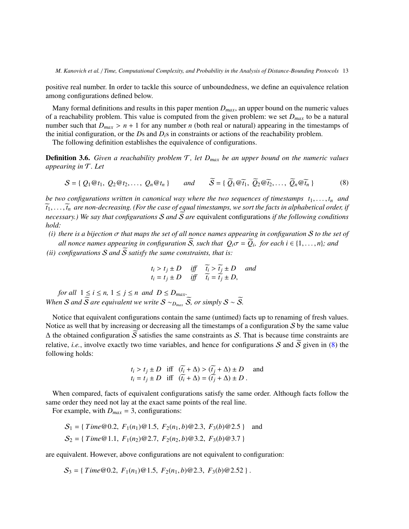positive real number. In order to tackle this source of unboundedness, we define an equivalence relation among configurations defined below.

Many formal definitions and results in this paper mention *Dmax*, an upper bound on the numeric values of a reachability problem. This value is computed from the given problem: we set *Dmax* to be a natural number such that  $D_{max} > n + 1$  for any number *n* (both real or natural) appearing in the timestamps of the initial configuration, or the *D*s and *Di*s in constraints or actions of the reachability problem.

The following definition establishes the equivalence of configurations.

<span id="page-12-1"></span>**Definition 3.6.** Given a reachability problem  $\mathcal{T}$ , let  $D_{max}$  be an upper bound on the numeric values *appearing in* T*. Let*

<span id="page-12-0"></span>
$$
S = \{ Q_1 \otimes t_1, Q_2 \otimes t_2, \dots, Q_n \otimes t_n \} \quad \text{and} \quad \widetilde{S} = \{ \widetilde{Q}_1 \otimes \widetilde{t_1}, \widetilde{Q}_2 \otimes \widetilde{t_2}, \dots, \widetilde{Q}_n \otimes \widetilde{t_n} \} \tag{8}
$$

*be two configurations written in canonical way where the two sequences of timestamps*  $t_1, \ldots, t_n$  *and*  $\widetilde{t}_1,\ldots,\widetilde{t}_n$  are non-decreasing. (For the case of equal timestamps, we sort the facts in alphabetical order, if *necessary.) We say that configurations* S *and*  $\tilde{S}$  *are* equivalent configurations *if the following conditions hold:*

- $(i)$  *there is a bijection*  $\sigma$  *that maps the set of all nonce names appearing in configuration*  $S$  *to the set of all nonce names appearing in configuration* S, such that  $Q_i \sigma = Q_i$ , for each  $i \in \{1, ..., n\}$ ; and configurations S and  $\widetilde{S}$  satisfy the same constraints that is:
- *(ii) configurations* S and  $\widetilde{S}$  *satisfy the same constraints, that is:*

$$
t_i > t_j \pm D
$$
 iff  $\widetilde{t_i} > \widetilde{t_j} \pm D$  and  
\n $t_i = t_j \pm D$  iff  $\widetilde{t_i} = \widetilde{t_j} \pm D$ ,

*for all*  $1 \le i \le n$ ,  $1 \le j \le n$  *and*  $D \le D_{max}$ *. When S* and *S* are equivalent we write  $S \sim_{D_{max}} S$ , or simply  $S \sim S$ .

Notice that equivalent configurations contain the same (untimed) facts up to renaming of fresh values. Notice as well that by increasing or decreasing all the timestamps of a configuration  $S$  by the same value  $\Delta$  the obtained configuration  $\widetilde{S}$  satisfies the same constraints as S. That is because time constraints are relative, *i.e.*, involve exactly two time variables, and hence for configurations S and  $\tilde{S}$  given in [\(8\)](#page-12-0) the following holds:

$$
t_i > t_j \pm D
$$
 iff  $(\tilde{t_i} + \Delta) > (\tilde{t_j} + \Delta) \pm D$  and  
\n $t_i = t_j \pm D$  iff  $(\tilde{t_i} + \Delta) = (\tilde{t_j} + \Delta) \pm D$ .

When compared, facts of equivalent configurations satisfy the same order. Although facts follow the same order they need not lay at the exact same points of the real line.

For example, with  $D_{max} = 3$ , configurations:

$$
S_1 = \{ Time@0.2, F_1(n_1)@1.5, F_2(n_1, b)@2.3, F_3(b)@2.5 \} and
$$
  
\n
$$
S_2 = \{ Time@1.1, F_1(n_2)@2.7, F_2(n_2, b)@3.2, F_3(b)@3.7 \}
$$

are equivalent. However, above configurations are not equivalent to configuration:

 $S_3 = \{ Time@0.2, F_1(n_1)@1.5, F_2(n_1, b)@2.3, F_3(b)@2.52 \}.$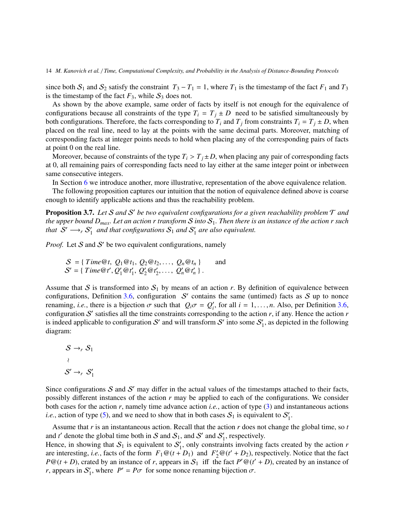since both  $S_1$  and  $S_2$  satisfy the constraint  $T_3 - T_1 = 1$ , where  $T_1$  is the timestamp of the fact  $F_1$  and  $T_3$ is the timestamp of the fact  $F_3$ , while  $S_3$  does not.

As shown by the above example, same order of facts by itself is not enough for the equivalence of configurations because all constraints of the type  $T_i = T_j \pm D$  need to be satisfied simultaneously by both configurations. Therefore, the facts corresponding to  $T_i$  and  $T_j$  from constraints  $T_i = T_j \pm D$ , when placed on the real line, need to lay at the points with the same decimal parts. Moreover, matching of corresponding facts at integer points needs to hold when placing any of the corresponding pairs of facts at point 0 on the real line.

Moreover, because of constraints of the type  $T_i > T_j \pm D$ , when placing any pair of corresponding facts at 0, all remaining pairs of corresponding facts need to lay either at the same integer point or inbetween same consecutive integers.

In Section [6](#page-28-0) we introduce another, more illustrative, representation of the above equivalence relation.

The following proposition captures our intuition that the notion of equivalence defined above is coarse enough to identify applicable actions and thus the reachability problem.

<span id="page-13-0"></span>Proposition 3.7. Let S and S' be two equivalent configurations for a given reachability problem T and *the upper bound*  $D_{max}$ *. Let an action r transform* S into  $S_1$ . Then there is an instance of the action r such *that*  $S' \longrightarrow_r S'_1$  $\frac{1}{1}$  and that configurations  $\mathcal{S}_1$  and  $\mathcal{S}'_1$ 1 *are also equivalent.*

*Proof.* Let  $S$  and  $S'$  be two equivalent configurations, namely

$$
S = \{ Time@t, Q_1@t_1, Q_2@t_2, ..., Q_n@t_n \}
$$
 and  

$$
S' = \{ Time@t', Q'_1@t'_1, Q'_2@t'_2, ..., Q'_n@t'_n \}.
$$

Assume that S is transformed into  $S_1$  by means of an action *r*. By definition of equivalence between configurations, Definition [3.6,](#page-12-1) configuration  $S'$  contains the same (untimed) facts as  $S$  up to nonce renaming, *i.e.*, there is a bijection  $\sigma$  such that  $Q_i \sigma = Q'_i$ <br>configuration S' satisfies all the time constraints correspon*i*, for all  $i = 1, \ldots, n$ . Also, per Definition [3.6,](#page-12-1) noting to the action  $r$  if any Hence the action  $r$ configuration  $S'$  satisfies all the time constraints corresponding to the action  $r$ , if any. Hence the action  $r$ is indeed applicable to configuration S' and will transform S' into some  $S_1'$  $\gamma_1'$ , as depicted in the following diagram:

$$
S \rightarrow_r S_1
$$
  

$$
\downarrow
$$
  

$$
S' \rightarrow_r S'_1
$$

Since configurations  $S$  and  $S'$  may differ in the actual values of the timestamps attached to their facts, possibly different instances of the action *r* may be applied to each of the configurations. We consider both cases for the action *r*, namely time advance action *i.e.*, action of type [\(3\)](#page-7-3) and instantaneous actions *i.e.*, action of type [\(5\)](#page-8-0), and we need to show that in both cases  $S_1$  is equivalent to  $S_1$  $\frac{1}{1}$ .

Assume that *r* is an instantaneous action. Recall that the action *r* does not change the global time, so *t* and *t'* denote the global time both in S and  $S_1$ , and S' and S'<sub>1</sub>  $\mathbf{I}'_1$ , respectively.

Hence, in showing that  $S_1$  is equivalent to  $S_1'$  $\frac{1}{1}$ , only constraints involving facts created by the action *r* are interesting, *i.e.*, facts of the form  $F_1@(t + D_1)$  and  $F'_2@(t' + D_2)$ , respectively. Notice that the fact  $P@(t+D)$ , crated by an instance of *r*, appears in  $S_1$  iff the fact  $P'@(t'+D)$ , created by an instance of *r*, appears in  $S_1'$  $P' = P\sigma$  for some nonce renaming bijection  $\sigma$ .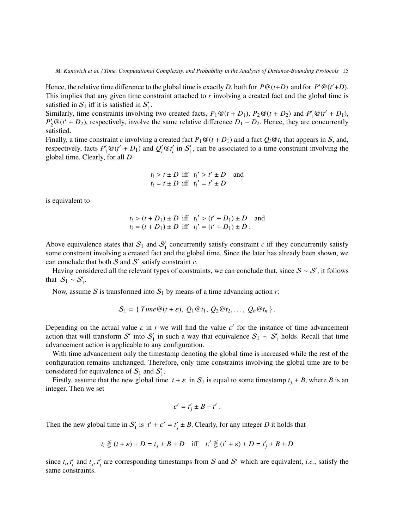Hence, the relative time difference to the global time is exactly *D*, both for  $P@(t+D)$  and for  $P'@(t'+D)$ . This implies that any given time constraint attached to *r* involving a created fact and the global time is satisfied in  $S_1$  iff it is satisfied in  $S_1'$  $\frac{1}{1}$ .

Similarly, time constraints involving two created facts,  $P_1@(t + D_1)$ ,  $P_2@(t + D_2)$  and  $P'_1@(t' + D_1)$ ,  $P'_2 \omega(t' + D_2)$ , respectively, involve the same relative difference  $D_1 - D_2$ . Hence, they are concurrently satisfied.

Finally, a time constraint *c* involving a created fact  $P_1@(t+D_1)$  and a fact  $Q_i@t_i$  that appears in S, and, respectively, facts  $P'_1 @ (t' + D_1)$  and  $Q'_i @ t'_i$  $\int_i$  in  $S'_1$  $\gamma_1'$ , can be associated to a time constraint involving the global time. Clearly, for all *D*

$$
t_i > t \pm D
$$
 iff  $t_i' > t' \pm D$  and  
\n $t_i = t \pm D$  iff  $t_i' = t' \pm D$ 

is equivalent to

$$
t_i > (t + D_1) \pm D
$$
 iff  $t_i' > (t' + D_1) \pm D$  and  
\n $t_i = (t + D_1) \pm D$  iff  $t_i' = (t' + D_1) \pm D$ .

Above equivalence states that  $S_1$  and  $S_1'$  $\frac{1}{1}$  concurrently satisfy constraint *c* iff they concurrently satisfy some constraint involving a created fact and the global time. Since the later has already been shown, we can conclude that both  $S$  and  $S'$  satisfy constraint  $c$ .

Having considered all the relevant types of constraints, we can conclude that, since  $S \sim S'$ , it follows that  $S_1 \sim S'_1$ .

Now, assume S is transformed into  $S_1$  by means of a time advancing action *r*:

$$
S_1 = \{ Time@(t + \varepsilon), Q_1@t_1, Q_2@t_2, \ldots, Q_n@t_n \}.
$$

Depending on the actual value  $\varepsilon$  in *r* we will find the value  $\varepsilon'$  for the instance of time advancement<br>action that will transform S' into S' in such a way that equivalence S<sub>1</sub>  $\alpha$ , S' holds. Recall that time action that will transform  $S'$  into  $S'_{1}$  $\mathcal{S}_1$  in such a way that equivalence  $\mathcal{S}_1 \sim \mathcal{S}_1'$  holds. Recall that time advancement action is applicable to any configuration.

With time advancement only the timestamp denoting the global time is increased while the rest of the configuration remains unchanged. Therefore, only time constraints involving the global time are to be considered for equivalence of  $S_1$  and  $S_1'$  $\frac{1}{1}$ .

Firstly, assume that the new global time  $t + \varepsilon$  in  $S_1$  is equal to some timestamp  $t_i \pm B$ , where *B* is an integer. Then we set

$$
\varepsilon' = t'_j \pm B - t'.
$$

Then the new global time in  $S_1$  $t'$  is  $t' + \varepsilon' = t'_j$  $\mathbf{y}'_j \pm \mathbf{B}$ . Clearly, for any integer *D* it holds that

$$
t_i \leq (t + \varepsilon) \pm D = t_j \pm B \pm D
$$
 iff  $t_i' \leq (t' + \varepsilon) \pm D = t_j' \pm B \pm D$ 

since  $t_i, t'_i$  $\int_{i}^{t}$  and  $t_j, t'_j$  $\mathcal{S}_j$  are corresponding timestamps from S and S' which are equivalent, *i.e.*, satisfy the same constraints.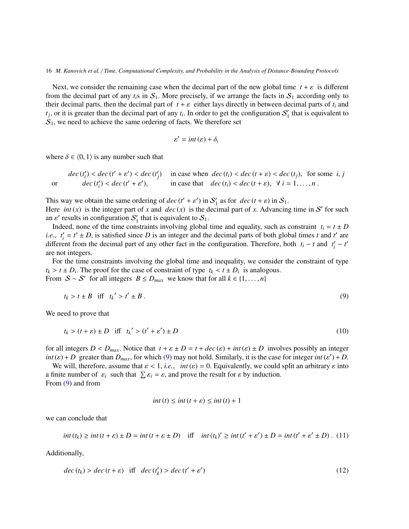Next, we consider the remaining case when the decimal part of the new global time  $t + \varepsilon$  is different from the decimal part of any  $t_i$ s in  $S_1$ . More precisely, if we arrange the facts in  $S_1$  according only to their decimal parts, then the decimal part of  $t + \varepsilon$  either lays directly in between decimal parts of  $t_i$  and  $t_j$ , or it is greater than the decimal part of any  $t_i$ . In order to get the configuration  $S'_1$  $\frac{1}{1}$  that is equivalent to  $S_1$ , we need to achieve the same ordering of facts. We therefore set

<span id="page-15-0"></span>
$$
\varepsilon' = int(\varepsilon) + \delta,
$$

where  $\delta \in \langle 0, 1 \rangle$  is any number such that

$$
\begin{aligned}\n\text{dec}(t_i') &< \text{dec}(t' + \varepsilon') < \text{dec}(t_j') \quad \text{in case when } \text{dec}(t_i) < \text{dec}(t + \varepsilon) < \text{dec}(t_j), \text{ for some } i, j \\
\text{or} \quad & \text{dec}(t_i') < \text{dec}(t' + \varepsilon'), \quad \text{in case that} \quad \text{dec}(t_i) < \text{dec}(t + \varepsilon), \ \forall \, i = 1, \dots, n\n\end{aligned}
$$

This way we obtain the same ordering of  $dec(t' + \varepsilon')$  in  $S'_1$ <br>Here *int(x)* is the integer part of *x* and  $dec(x)$  is the dec  $\frac{1}{1}$  as for  $dec(t + \varepsilon)$  in  $S_1$ . Here *int* (*x*) is the integer part of *x* and *dec* (*x*) is the decimal part of *x*. Advancing time in S' for such an  $\varepsilon'$  results in configuration  $S'_1$ <br>Indeed, none of the time con- $\frac{1}{1}$  that is equivalent to  $S_1$ .

Indeed, none of the time constraints involving global time and equality, such as constraint  $t_i = t \pm D$  $i.e., t'_i$  $i = t' \pm D$ , is satisfied since *D* is an integer and the decimal parts of both global times *t* and *t'* are different from the decimal part of any other fact in the configuration. Therefore, both  $t_i - t$  and  $t'_i$  $t_i' - t'$ are not integers.

For the time constraints involving the global time and inequality, we consider the constraint of type  $t_k > t \pm D_i$ . The proof for the case of constraint of type  $t_k < t \pm D_i$  is analogous.<br>From  $S \sim S'$  for all integers  $R < D$  we know that for all  $k \in \{1, \ldots, n\}$ From  $S \sim S'$  for all integers  $B \le D_{max}$  we know that for all  $k \in \{1, ..., n\}$ 

<span id="page-15-3"></span>
$$
t_k > t \pm B \quad \text{iff} \quad t_k' > t' \pm B \,. \tag{9}
$$

We need to prove that

$$
t_k > (t + \varepsilon) \pm D \quad \text{iff} \quad t_k' > (t' + \varepsilon') \pm D \tag{10}
$$

for all integers  $D < D_{max}$ . Notice that  $t + \varepsilon \pm D = t + dec \, (\varepsilon) + int \, (\varepsilon) \pm D$  involves possibly an integer *int* (ε) + *D* greater than  $D_{max}$ , for which [\(9\)](#page-15-0) may not hold. Similarly, it is the case for integer *int* (ε') + *D*.<br>We will therefore, assume that  $s < 1$  *i.e. int* (s) – 0. Fourwalently, we could split an arbitrar

We will, therefore, assume that  $\varepsilon < 1$ , *i.e.*, *int* ( $\varepsilon$ ) = 0. Equivalently, we could split an arbitrary  $\varepsilon$  into a finite number of  $\varepsilon_i$  such that  $\sum \varepsilon_i = \varepsilon$ , and prove the result for  $\varepsilon$  by induction.<br>From (9) and from From [\(9\)](#page-15-0) and from

<span id="page-15-1"></span>
$$
int(t) \le int(t + \varepsilon) \le int(t) + 1
$$

we can conclude that

<span id="page-15-2"></span>
$$
int(t_k) \ge int(t+\varepsilon) \pm D = int(t+\varepsilon \pm D) \quad \text{iff} \quad int(t_k)' \ge int(t'+\varepsilon') \pm D = int(t'+\varepsilon' \pm D). \tag{11}
$$

Additionally,

$$
dec(t_k) > dec(t+\varepsilon) \quad \text{iff} \quad dec(t'_k) > dec(t'+\varepsilon') \tag{12}
$$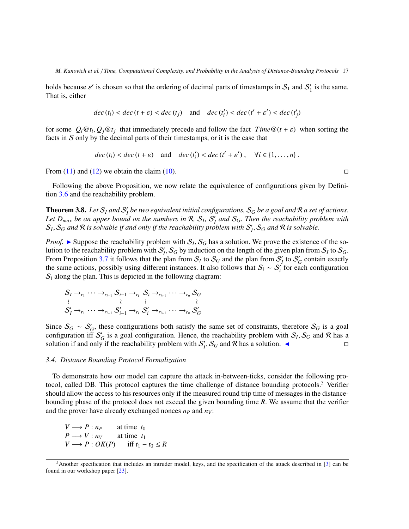holds because  $\varepsilon'$  is chosen so that the ordering of decimal parts of timestamps in  $S_1$  and  $S'_1$ <br>That is either  $\frac{1}{1}$  is the same. That is, either

$$
dec(t_i) < dec(t + \varepsilon) < dec(t_j) \quad \text{and} \quad dec(t'_i) < dec(t' + \varepsilon') < dec(t'_j)
$$

for some  $Q_i @ t_i, Q_j @ t_j$  that immediately precede and follow the fact  $Time@(t + \varepsilon)$  when sorting the facts in S only by the decimal parts of their timestamps, or it is the case that facts in  $S$  only by the decimal parts of their timestamps, or it is the case that

$$
dec(t_i) < dec(t+\varepsilon) \quad \text{and} \quad dec(t'_i) < dec(t'+\varepsilon'), \quad \forall i \in \{1,\ldots,n\} \, .
$$

From  $(11)$  and  $(12)$  we obtain the claim  $(10)$ .

Following the above Proposition, we now relate the equivalence of configurations given by Definition [3.6](#page-12-1) and the reachability problem.

<span id="page-16-1"></span>**Theorem 3.8.** Let  $S_I$  and  $S_I'$ *I be two equivalent initial configurations,* S*<sup>G</sup> be a goal and* R *a set of actions.* Let  $D_{max}$  be an upper bound on the numbers in  $\mathcal{R}$ ,  $\mathcal{S}_I$ ,  $\mathcal{S}'_I$ *I and* S*G. Then the reachability problem with*  $S_I$ ,  $S_G$  and  $R$  is solvable if and only if the reachability problem with  $S_I'$  $'_{I}$ ,  $S_G$  *and*  $R$  *is solvable.* 

*Proof.* ightharpoonupose the reachability problem with  $S_I$ ,  $S_G$  has a solution. We prove the existence of the so-<br>lution to the reachability problem with S',  $S_G$  by induction on the length of the given plan from S<sub>t</sub> lution to the reachability problem with  $S'_{l}$  $\mathcal{S}_I$ ,  $\mathcal{S}_G$  by induction on the length of the given plan from  $\mathcal{S}_I$  to  $\mathcal{S}_G$ .<br>
plan from  $\mathcal{S}_I$  to  $\mathcal{S}_G$  and the plan from  $\mathcal{S}'$  to  $\mathcal{S}'$  contain exactly From Proposition [3.7](#page-13-0) it follows that the plan from  $S_I$  to  $S_G$  and the plan from  $S_I'$  $\int_I$  to  $S'_0$  $G$  contain exactly the same actions, possibly using different instances. It also follows that  $S_i \sim S'_i$  for each configuration  $S_i$  along the plan. This is depicted in the following diagram:

$$
S_I \rightarrow_{r_1} \cdots \rightarrow_{r_{i-1}} S_{i-1} \rightarrow_{r_i} S_i \rightarrow_{r_{i+1}} \cdots \rightarrow_{r_n} S_G
$$
  

$$
\downarrow \qquad \qquad \downarrow \qquad \qquad \downarrow
$$
  

$$
S'_I \rightarrow_{r_1} \cdots \rightarrow_{r_{i-1}} S'_{i-1} \rightarrow_{r_i} S'_i \rightarrow_{r_{i+1}} \cdots \rightarrow_{r_n} S'_G
$$

Since  $S_G \sim S_G'$ , these configurations both satisfy the same set of constraints, therefore  $S_G$  is a goal configuration iff  $S'_{\epsilon}$ configuration iff  $S'_G$  is a goal configuration. Hence, the reachability problem with  $S_I$ ,  $S_G$  and  $R$  has a solution if and only if the reachability problem with  $S'_I$ ,  $S_G$  and  $R$  has a solution.  $I_1, S_G$  and R has a solution.  $\triangleleft$ 

# <span id="page-16-0"></span>*3.4. Distance Bounding Protocol Formalization*

To demonstrate how our model can capture the attack in-between-ticks, consider the following protocol, called DB. This protocol captures the time challenge of distance bounding protocols.<sup>5</sup> Verifier should allow the access to his resources only if the measured round trip time of messages in the distancebounding phase of the protocol does not exceed the given bounding time *R*. We assume that the verifier and the prover have already exchanged nonces *n<sup>P</sup>* and *nV*:

 $V \longrightarrow P : np$  at time  $t_0$  $P \longrightarrow V : n_V$  at time  $t_1$  $V \longrightarrow P : OK(P)$  iff  $t_1 - t_0 \leq R$ 

<sup>5</sup>Another specification that includes an intruder model, keys, and the specification of the attack described in [\[3\]](#page-44-2) can be found in our workshop paper [\[23\]](#page-45-17).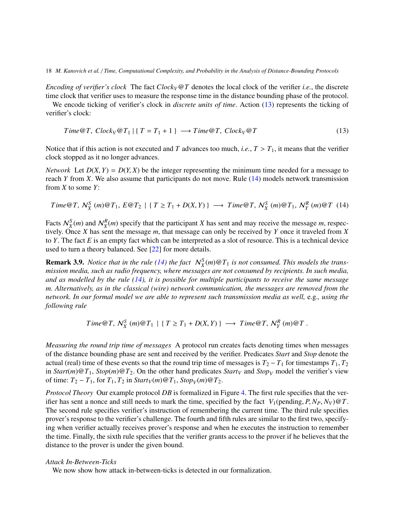*Encoding of verifier's clock* The fact  $Clock_V@T$  denotes the local clock of the verifier *i.e.*, the discrete time clock that verifier uses to measure the response time in the distance bounding phase of the protocol.

We encode ticking of verifier's clock in *discrete units of time*. Action [\(13\)](#page-17-0) represents the ticking of verifier's clock:

<span id="page-17-0"></span>
$$
Time@T, \; Clock_V@T_1 \mid \{ \, T = T_1 + 1 \, \} \; \longrightarrow Time@T, \; Clock_V@T \tag{13}
$$

Notice that if this action is not executed and *T* advances too much, *i.e.*,  $T > T_1$ , it means that the verifier clock stopped as it no longer advances.

*Network* Let  $D(X, Y) = D(Y, X)$  be the integer representing the minimum time needed for a message to reach *Y* from *X*. We also assume that participants do not move. Rule [\(14\)](#page-17-1) models network transmission from *X* to some *Y*:

<span id="page-17-1"></span>
$$
Time@T, N_X^S(m)@T_1, E@T_2 \mid \{ T \ge T_1 + D(X, Y) \} \longrightarrow Time@T, N_X^S(m)@T_1, N_Y^R(m)@T \tag{14}
$$

Facts  $\mathcal{N}_X^S(m)$  and  $\mathcal{N}_X^R(m)$  specify that the participant *X* has sent and may receive the message *m*, respectively. Once *X* has sent the message *m*, that message can only be received by *Y* once it traveled from *X* to *Y*. The fact *E* is an empty fact which can be interpreted as a slot of resource. This is a technical device used to turn a theory balanced. See [\[22\]](#page-45-7) for more details.

**Remark 3.9.** *Notice that in the rule* [\(14\)](#page-17-1) *the fact*  $N_X^S(m) \tQ T_1$  *is not consumed. This models the transmission media, such as radio frequency, where messages are not consumed by recipients. In such media, and as modelled by the rule [\(14\)](#page-17-1), it is possible for multiple participants to receive the same message m. Alternatively, as in the classical (wire) network communication, the messages are removed from the network. In our formal model we are able to represent such transmission media as well,* e.g.*, using the following rule*

 $Time@T$ ,  $N_X^S$   $(m)@T_1$  | { $T \ge T_1 + D(X, Y)$ }  $\longrightarrow Time@T$ ,  $N_Y^R$   $(m)@T$ .

*Measuring the round trip time of messages* A protocol run creates facts denoting times when messages of the distance bounding phase are sent and received by the verifier. Predicates *Start* and *Stop* denote the actual (real) time of these events so that the round trip time of messages is  $T_2 - T_1$  for timestamps  $T_1, T_2$ in *Start*(*m*)@*T*<sub>1</sub>, *Stop*(*m*)@*T*<sub>2</sub>. On the other hand predicates *Start*<sub>*V*</sub> and *Stop*<sub>*V*</sub> model the verifier's view of time:  $T_2 - T_1$ , for  $T_1, T_2$  in  $Start_V(m) \mathcal{Q} T_1$ ,  $Stop_V(m) \mathcal{Q} T_2$ .

*Protocol Theory* Our example protocol *DB* is formalized in Figure [4.](#page-18-0) The first rule specifies that the verifier has sent a nonce and still needs to mark the time, specified by the fact  $V_1$ (pending,  $P, N_P, N_V$ ) $@T$ . The second rule specifies verifier's instruction of remembering the current time. The third rule specifies prover's response to the verifier's challenge. The fourth and fifth rules are similar to the first two, specifying when verifier actually receives prover's response and when he executes the instruction to remember the time. Finally, the sixth rule specifies that the verifier grants access to the prover if he believes that the distance to the prover is under the given bound.

# *Attack In-Between-Ticks*

We now show how attack in-between-ticks is detected in our formalization.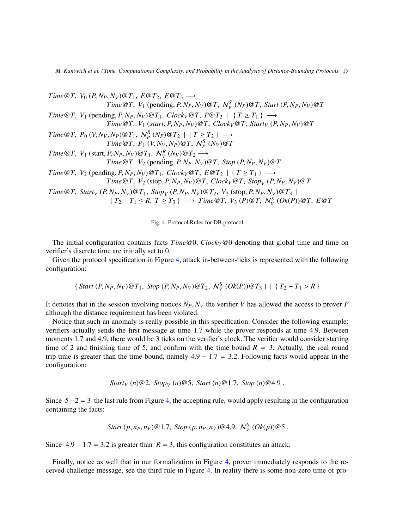<span id="page-18-0"></span> $Time@T, V_0 (P, N_P, N_V) @T_1, E @T_2, E @T_3 \longrightarrow$ *Time*@*T*, *V*<sub>1</sub> (pending, *P*, *N<sub>P</sub>*, *N<sub>V</sub>*)@*T*, *N<sub>S</sub>*<sup>*V*</sup><sub>*V*</sub>)@*T*, *Start* (*P*, *N<sub>P</sub>*, *N<sub>V</sub>*)@*T*  $Time@T, V_1$  (pending, *P*,  $N_P$ ,  $N_V$ ) $@T_1$ ,  $Clock_V @T, P@T_2 \mid \{T \ge T_1\} \longrightarrow$  $Time@T$ ,  $V_1$  ( $start$ ,  $P$ ,  $N_P$ ,  $N_V$ ) $@T$ ,  $Clock_V@T$ ,  $Start_V(P, N_P, N_V)@T$  $Time@T, P_0 (V, N_V, N_P) @T_1, N_P^R (N_P) @T_2 \mid \{ T \ge T_2 \} \longrightarrow$ <br>*Time*  $@T \cdot P_1 (V, N_V, N_D) @T \cdot N_S^S (N_V) @T_2$  $T$ *ime* @*T*,  $P_1$  (*V*,  $N_V$ ,  $N_P$ ) @*T*,  $N_P^S$  ( $N_V$ ) @*T*  $Time@T$ ,  $V_1$  (start, *P*,  $N_P$ ,  $N_V$ ) $@T_1$ ,  $N_V^R$   $(N_V)@T_2 \longrightarrow$ <br>*Time*  $@T$ ,  $V_2$  (pending *P*  $N_P$ ,  $N_V$ )*d Time* @*T*,  $V_2$  (pending, *P*,  $N_P$ ,  $N_V$ ) @*T*, *Stop* (*P*,  $N_P$ ,  $N_V$ ) @*T Time*@*T*, *V*<sub>2</sub> (pending, *P*,  $N_P$ ,  $N_V$ )@*T*<sub>1</sub>, *Clock*<sub>*V*</sub></sub> @*T*, *E*@*T*<sub>2</sub> | { $T \ge T_1$ } →  $Time@T$ ,  $V_2$  (stop,  $P$ ,  $N_P$ ,  $N_V$ ) $@T$ ,  $Clock_V @T$ ,  $Stop_V (P, N_P, N_V) @T$ Time@T, Starty  $(P, N_P, N_V) @ T_1$ , Stop<sub>y</sub>  $(P, N_P, N_V) @ T_2$ ,  $V_2$  (stop,  $P, N_P, N_V) @ T_3$  |  ${T_2 - T_1 \le R, T \ge T_3} \longrightarrow Time@T, V_3 (P)@T, N_V^S (Ok(P))@T, E@T$ 

Fig. 4. Protocol Rules for DB protocol

The initial configuration contains facts  $Time@0$ ,  $Clock<sub>V</sub>@0$  denoting that global time and time on verifier's discrete time are initially set to 0.

Given the protocol specification in Figure [4,](#page-18-0) attack in-between-ticks is represented with the following configuration:

{ Start 
$$
(P, N_P, N_V) \tQT_1
$$
, Stop  $(P, N_P, N_V) \tQT_2$ ,  $N_V^S$   $(Ok(P)) \tQT_3$ } | {  $T_2 - T_1 > R$ }

It denotes that in the session involving nonces  $N_P$ ,  $N_V$  the verifier *V* has allowed the access to prover *P* although the distance requirement has been violated.

Notice that such an anomaly is really possible in this specification. Consider the following example: verifiers actually sends the first message at time 1.7 while the prover responds at time 4.9. Between moments 1.7 and 4.9, there would be 3 ticks on the verifier's clock. The verifier would consider starting time of 2 and finishing time of 5, and confirm with the time bound  $R = 3$ . Actually, the real round trip time is greater than the time bound, namely  $4.9 - 1.7 = 3.2$ . Following facts would appear in the configuration:

*StartV* (*n*)@2, *Stop<sub>V</sub>* (*n*)@5, *Start* (*n*)@1.7, *Stop* (*n*)@4.9.

Since  $5-2=3$  the last rule from Figure [4,](#page-18-0) the accepting rule, would apply resulting in the configuration containing the facts:

Start 
$$
(p, n_P, n_V) \tQ 1.7
$$
, Stop  $(p, n_P, n_V) \tQ 4.9$ ,  $\mathcal{N}_V^S$   $(Ok(p)) \tQ 5$ .

Since  $4.9 - 1.7 = 3.2$  is greater than  $R = 3$ , this configuration constitutes an attack.

Finally, notice as well that in our formalization in Figure [4,](#page-18-0) prover immediately responds to the received challenge message, see the third rule in Figure [4.](#page-18-0) In reality there is some non-zero time of pro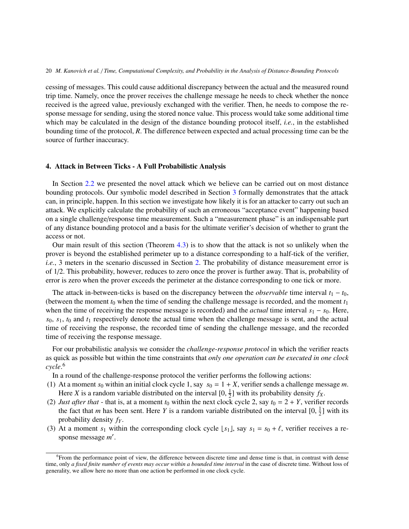cessing of messages. This could cause additional discrepancy between the actual and the measured round trip time. Namely, once the prover receives the challenge message he needs to check whether the nonce received is the agreed value, previously exchanged with the verifier. Then, he needs to compose the response message for sending, using the stored nonce value. This process would take some additional time which may be calculated in the design of the distance bounding protocol itself, *i.e.*, in the established bounding time of the protocol, *R*. The difference between expected and actual processing time can be the source of further inaccuracy.

# <span id="page-19-0"></span>4. Attack in Between Ticks - A Full Probabilistic Analysis

In Section [2.2](#page-4-1) we presented the novel attack which we believe can be carried out on most distance bounding protocols. Our symbolic model described in Section [3](#page-7-0) formally demonstrates that the attack can, in principle, happen. In this section we investigate how likely it is for an attacker to carry out such an attack. We explicitly calculate the probability of such an erroneous "acceptance event" happening based on a single challenge/response time measurement. Such a "measurement phase" is an indispensable part of any distance bounding protocol and a basis for the ultimate verifier's decision of whether to grant the access or not.

Our main result of this section (Theorem [4.3\)](#page-21-0) is to show that the attack is not so unlikely when the prover is beyond the established perimeter up to a distance corresponding to a half-tick of the verifier, *i.e.*, 3 meters in the scenario discussed in Section [2.](#page-3-0) The probability of distance measurement error is of 1/2. This probability, however, reduces to zero once the prover is further away. That is, probability of error is zero when the prover exceeds the perimeter at the distance corresponding to one tick or more.

The attack in-between-ticks is based on the discrepancy between the *observable* time interval  $t_1 - t_0$ , (between the moment  $t_0$  when the time of sending the challenge message is recorded, and the moment  $t_1$ when the time of receiving the response message is recorded) and the *actual* time interval  $s_1 - s_0$ . Here, *s*0, *s*1, *t*<sup>0</sup> and *t*<sup>1</sup> respectively denote the actual time when the challenge message is sent, and the actual time of receiving the response, the recorded time of sending the challenge message, and the recorded time of receiving the response message.

For our probabilistic analysis we consider the *challenge-response protocol* in which the verifier reacts as quick as possible but within the time constraints that *only one operation can be executed in one clock cycle*. 6

In a round of the challenge-response protocol the verifier performs the following actions:

- (1) At a moment  $s_0$  within an initial clock cycle 1, say  $s_0 = 1 + X$ , verifier sends a challenge message *m*. Here *X* is a random variable distributed on the interval  $[0, \frac{1}{2}]$ <br>*Lust after that* – that is at a moment to within the next clock  $\frac{1}{2}$ ] with its probability density  $f_X$ .
- (2) *Just after that* that is, at a moment  $t_0$  within the next clock cycle 2, say  $t_0 = 2 + Y$ , verifier records the fact that *m* has been sent. Here *Y* is a random variable distributed on the interval  $[0, \frac{1}{2}]$ <br>probability density fy  $\frac{1}{2}$ ] with its probability density *f<sup>Y</sup>* .
- (3) At a moment  $s_1$  within the corresponding clock cycle  $\lfloor s_1 \rfloor$ , say  $s_1 = s_0 + \ell$ , verifier receives a response message m'.

<sup>&</sup>lt;sup>6</sup>From the performance point of view, the difference between discrete time and dense time is that, in contrast with dense time, only *a fixed finite number of events may occur within a bounded time interval* in the case of discrete time. Without loss of generality, we allow here no more than one action be performed in one clock cycle.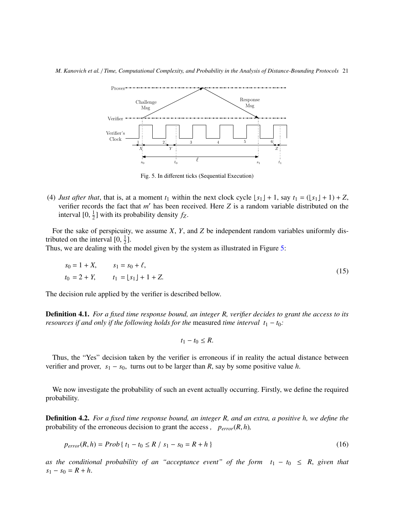<span id="page-20-0"></span>

Fig. 5. In different ticks (Sequential Execution)

(4) *Just after that*, that is, at a moment  $t_1$  within the next clock cycle  $\lfloor s_1 \rfloor + 1$ , say  $t_1 = (\lfloor s_1 \rfloor + 1) + Z$ , verifier records the fact that *m'* has been received. Here *Z* is a random variable distributed on the interval  $[0, \frac{1}{2}]$  $\frac{1}{2}$ ] with its probability density  $f_Z$ .

For the sake of perspicuity, we assume *X*, *Y*, and *Z* be independent random variables uniformly distributed on the interval  $[0, \frac{1}{2}]$ <br>Thus we are dealing with the  $\frac{1}{2}$ ].

Thus, we are dealing with the model given by the system as illustrated in Figure [5:](#page-20-0)

$$
s_0 = 1 + X, \t s_1 = s_0 + \ell, \n t_0 = 2 + Y, \t t_1 = \lfloor s_1 \rfloor + 1 + Z.
$$
\n(15)

The decision rule applied by the verifier is described bellow.

Definition 4.1. *For a fixed time response bound, an integer R, verifier decides to grant the access to its resources if and only if the following holds for the measured time interval*  $t_1 - t_0$ :

<span id="page-20-1"></span>
$$
t_1-t_0\leq R.
$$

Thus, the "Yes" decision taken by the verifier is erroneous if in reality the actual distance between verifier and prover,  $s_1 - s_0$ , turns out to be larger than *R*, say by some positive value *h*.

We now investigate the probability of such an event actually occurring. Firstly, we define the required probability.

Definition 4.2. *For a fixed time response bound, an integer R, and an extra, a positive h, we define the* probability of the erroneous decision to grant the access,  $p_{error}(R, h)$ ,

$$
p_{error}(R, h) = Prob\{t_1 - t_0 \le R / s_1 - s_0 = R + h\}
$$
\n(16)

*as the conditional probability of an "acceptance event" of the form*  $t_1 - t_0 \leq R$ , given that  $s_1 - s_0 = R + h$ .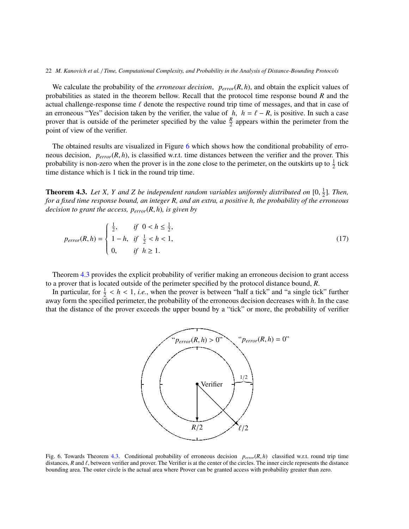We calculate the probability of the *erroneous decision*, *<sup>p</sup>error*(*R*, *<sup>h</sup>*), and obtain the explicit values of probabilities as stated in the theorem bellow. Recall that the protocol time response bound *R* and the actual challenge-response time  $\ell$  denote the respective round trip time of messages, and that in case of an erroneous "Yes" decision taken by the verifier, the value of  $\overline{h}$ ,  $h = \ell - R$ , is positive. In such a case prover that is outside of the perimeter specified by the value  $\frac{R}{2}$  appears within the perimeter from the point of view of the verifier.

The obtained results are visualized in Figure [6](#page-21-1) which shows how the conditional probability of erroneous decision, *<sup>p</sup>error*(*R*, *<sup>h</sup>*), is classified w.r.t. time distances between the verifier and the prover. This probability is non-zero when the prover is in the zone close to the perimeter, on the outskirts up to  $\frac{1}{2}$  tick time distance which is 1 tick in the round trip time.

<span id="page-21-0"></span>**Theorem 4.3.** Let X, Y and Z be independent random variables uniformly distributed on  $[0, \frac{1}{2}]$ <br>for a fixed time response bound, an integer R, and an extra, a positive h, the probability of the ex- $\frac{1}{2}$ ]. *Then*, *for a fixed time response bound, an integer R, and an extra, a positive h, the probability of the erroneous decision to grant the access, perror*(*R*, *<sup>h</sup>*)*, is given by*

$$
Perror(R, h) = \begin{cases} \frac{1}{2}, & \text{if } 0 < h \le \frac{1}{2}, \\ 1 - h, & \text{if } \frac{1}{2} < h < 1, \\ 0, & \text{if } h \ge 1. \end{cases} \tag{17}
$$

Theorem [4.3](#page-21-0) provides the explicit probability of verifier making an erroneous decision to grant access to a prover that is located outside of the perimeter specified by the protocol distance bound, *R*.

<span id="page-21-1"></span>In particular, for  $\frac{1}{2} < h < 1$ , *i.e.*, when the prover is between "half a tick" and "a single tick" further away form the specified perimeter, the probability of the erroneous decision decreases with *h*. In the case that the distance of the prover exceeds the upper bound by a "tick" or more, the probability of verifier



Fig. 6. Towards Theorem [4.3.](#page-21-0) Conditional probability of erroneous decision *<sup>p</sup>error*(*R*, *<sup>h</sup>*) classified w.r.t. round trip time distances, *R* and  $\ell$ , between verifier and prover. The Verifier is at the center of the circles. The inner circle represents the distance bounding area. The outer circle is the actual area where Prover can be granted access with probability greater than zero.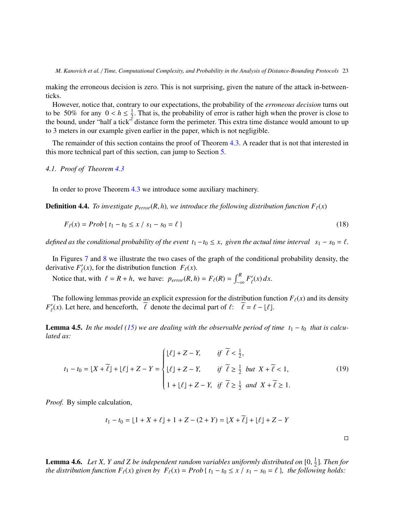making the erroneous decision is zero. This is not surprising, given the nature of the attack in-betweenticks.

However, notice that, contrary to our expectations, the probability of the *erroneous decision* turns out to be 50% for any  $0 < h \leq \frac{1}{2}$ <br>the bound under "balf a tick"  $\frac{1}{2}$ . That is, the probability of error is rather high when the prover is close to the bound, under "half a tick" distance form the perimeter. This extra time distance would amount to up to 3 meters in our example given earlier in the paper, which is not negligible.

The remainder of this section contains the proof of Theorem [4.3.](#page-21-0) A reader that is not that interested in this more technical part of this section, can jump to Section [5.](#page-25-0)

#### *4.1. Proof of Theorem [4.3](#page-21-0)*

In order to prove Theorem [4.3](#page-21-0) we introduce some auxiliary machinery.

**Definition 4.4.** *To investigate*  $p_{error}(R, h)$ *, we introduce the following distribution function*  $F_{\ell}(x)$ 

$$
F_{\ell}(x) = Prob\{t_1 - t_0 \le x / s_1 - s_0 = \ell\}
$$
\n(18)

*defined as the conditional probability of the event*  $t_1-t_0 \leq x$ , *given the actual time interval*  $s_1 - s_0 = \ell$ .

In Figures [7](#page-23-0) and [8](#page-23-0) we illustrate the two cases of the graph of the conditional probability density, the derivative  $F'_{\ell}(x)$ , for the distribution function  $F_{\ell}(x)$ .

Notice that, with  $\ell = R + h$ , we have:  $p_{error}(R, h) = F_{\ell}(R) = \int_{-\infty}^{R} F'_{\ell}$ (*x*) *dx*.

The following lemmas provide an explicit expression for the distribution function  $F_\ell(x)$  and its density  $F'_{\ell}(x)$ . Let here, and henceforth,  $\tilde{\ell}$  denote the decimal part of  $\ell: \tilde{\ell} = \ell - \lfloor \ell \rfloor$ .

<span id="page-22-0"></span>**Lemma 4.5.** *In the model* [\(15\)](#page-20-1) we are dealing with the observable period of time  $t_1 - t_0$  that is calcu*lated as:*

$$
t_1 - t_0 = \lfloor X + \widetilde{\ell} \rfloor + \lfloor \ell \rfloor + Z - Y = \begin{cases} \lfloor \ell \rfloor + Z - Y, & \text{if } \widetilde{\ell} < \frac{1}{2}, \\ \lfloor \ell \rfloor + Z - Y, & \text{if } \widetilde{\ell} \ge \frac{1}{2} \text{ but } X + \widetilde{\ell} < 1, \\ 1 + \lfloor \ell \rfloor + Z - Y, & \text{if } \widetilde{\ell} \ge \frac{1}{2} \text{ and } X + \widetilde{\ell} \ge 1. \end{cases} \tag{19}
$$

*Proof.* By simple calculation,

$$
t_1 - t_0 = [1 + X + \ell] + 1 + Z - (2 + Y) = [X + \widetilde{\ell}] + [\ell] + Z - Y
$$

<span id="page-22-1"></span>**Lemma 4.6.** Let X, Y and Z be independent random variables uniformly distributed on  $[0, \frac{1}{2}]$ <br>the distribution function  $E_{\ell}(x)$  given by  $E_{\ell}(x) = Prob[i, -to < x / s] = so = \ell \}$ , the follow  $\frac{1}{2}$ ]. Then for *the distribution function*  $F_{\ell}(x)$  *given by*  $F_{\ell}(x) = Prob\{t_1 - t_0 \le x \mid s_1 - s_0 = \ell \}$ *, the following holds:* 

 $\Box$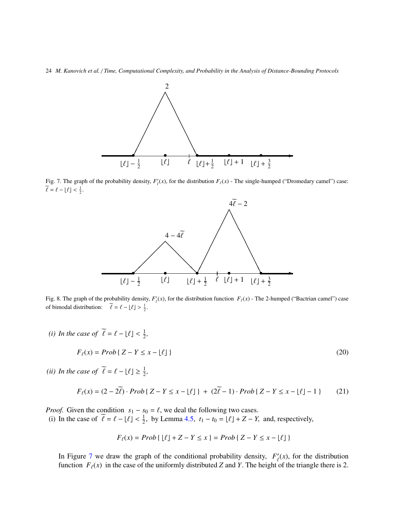<span id="page-23-0"></span>24 *M. Kanovich et al.* / *Time, Computational Complexity, and Probability in the Analysis of Distance-Bounding Protocols*



Fig. 7. The graph of the probability density,  $F'_{\ell}(x)$ , for the distribution  $F_{\ell}(x)$  - The single-humped ("Dromedary camel") case:  $\ell = \ell - \lfloor \ell \rfloor < \frac{1}{2}.$ 



Fig. 8. The graph of the probability density,  $F'_{\ell}(x)$ , for the distribution function  $F_{\ell}(x)$  - The 2-humped ("Bactrian camel") case of bimodal distribution:  $\tilde{\ell} = \ell - \lfloor \ell \rfloor > \frac{1}{2}$ .

*(i) In the case of*  $\widetilde{\ell} = \ell - \lfloor \ell \rfloor < \frac{1}{2}$  $\frac{1}{2}$ ,  $F_{\ell}(x) = Prob\{Z - Y \leq x - \lfloor \ell \rfloor\}$  (20)

*(ii) In the case of*  $\widetilde{\ell} = \ell - \lfloor \ell \rfloor \ge \frac{1}{2}$ ,

$$
F_{\ell}(x) = (2 - 2\tilde{\ell}) \cdot Prob\{Z - Y \le x - \lfloor \ell \rfloor\} + (2\tilde{\ell} - 1) \cdot Prob\{Z - Y \le x - \lfloor \ell \rfloor - 1\}
$$
 (21)

*Proof.* Given the condition  $s_1 - s_0 = \ell$ , we deal the following two cases.<br>
(i) In the case of  $\ell = \ell - |\ell| < \frac{1}{2}$  by Lemma 4.5,  $t_1 - t_2 = |\ell| + \ell = \ell$ (i) In the case of  $\tilde{\ell} = \ell - \lfloor \ell \rfloor < \frac{1}{2}$  $\frac{1}{2}$ , by Lemma [4.5,](#page-22-0)  $t_1 - t_0 = \lfloor \ell \rfloor + Z - Y$ , and, respectively,

$$
F_{\ell}(x) = Prob\{ \lfloor \ell \rfloor + Z - Y \le x \} = Prob\{ Z - Y \le x - \lfloor \ell \rfloor \}
$$

In Figure [7](#page-23-0) we draw the graph of the conditional probability density,  $F'_{\ell}(x)$ , for the distribution function  $F_\ell(x)$  in the case of the uniformly distributed *Z* and *Y*. The height of the triangle there is 2.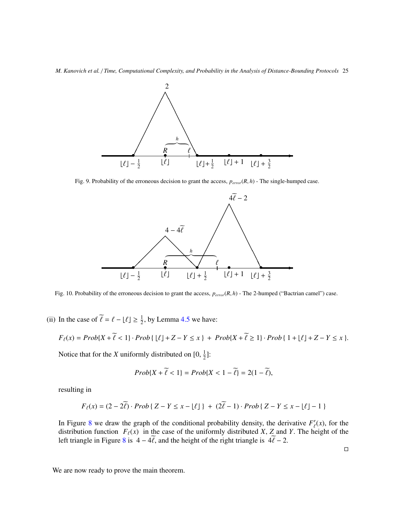<span id="page-24-0"></span>*M. Kanovich et al.* / *Time, Computational Complexity, and Probability in the Analysis of Distance-Bounding Protocols* 25



Fig. 9. Probability of the erroneous decision to grant the access, *<sup>p</sup>error*(*R*, *<sup>h</sup>*) - The single-humped case.



Fig. 10. Probability of the erroneous decision to grant the access, *<sup>p</sup>error*(*R*, *<sup>h</sup>*) - The 2-humped ("Bactrian camel") case.

(ii) In the case of  $\tilde{\ell} = \ell - \lfloor \ell \rfloor \ge \frac{1}{2}$ , by Lemma [4.5](#page-22-0) we have:

$$
F_{\ell}(x) = Prob\{X + \overline{\ell} < 1\} \cdot Prob\{ \lfloor \ell \rfloor + Z - Y \leq x \} + Prob\{X + \overline{\ell} \geq 1\} \cdot Prob\{1 + \lfloor \ell \rfloor + Z - Y \leq x \}.
$$

Notice that for the *X* uniformly distributed on  $[0, \frac{1}{2}]$  $\frac{1}{2}$ ]:

$$
Prob\{X+\widetilde{\ell}<1\}=Prob\{X<1-\widetilde{\ell}\}=2(1-\widetilde{\ell}),
$$

resulting in

$$
F_{\ell}(x) = (2 - 2\tilde{\ell}) \cdot Prob\{Z - Y \le x - \lfloor \ell \rfloor\} + (2\tilde{\ell} - 1) \cdot Prob\{Z - Y \le x - \lfloor \ell \rfloor - 1\}
$$

In Figure [8](#page-23-0) we draw the graph of the conditional probability density, the derivative  $F'_{\ell}(x)$ , for the distribution function  $F_{\ell}(x)$  in the case of the uniformly distributed *X*, *Z* and *Y*. The height of the left triangle is  $\Lambda \ell$ left triangle in Figure [8](#page-23-0) is  $4 - 4\ell$ , and the height of the right triangle is  $4\ell - 2$ .

 $\Box$ 

We are now ready to prove the main theorem.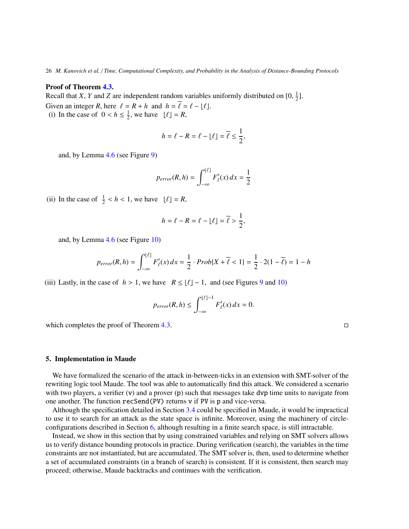# Proof of Theorem [4.3.](#page-21-0)

Recall that *X*, *Y* and *Z* are independent random variables uniformly distributed on  $[0, \frac{1}{2}]$  $\frac{1}{2}$ ].

Given an integer *R*, here  $\ell = R + h$  and  $h = \ell = \ell - \lfloor \ell \rfloor$ .<br>(i) In the case of  $0 < h < \frac{1}{2}$  we have  $\lfloor \ell \rfloor - R$ 

(i) In the case of  $0 < h \leq \frac{1}{2}$  $\frac{1}{2}$ , we have  $\lfloor \ell \rfloor = R$ ,

$$
h = \ell - R = \ell - \lfloor \ell \rfloor = \widetilde{\ell} \le \frac{1}{2},
$$

and, by Lemma [4.6](#page-22-1) (see Figure [9\)](#page-24-0)

$$
p_{error}(R, h) = \int_{-\infty}^{\lfloor \ell \rfloor} F'_{\ell}(x) \, dx = \frac{1}{2}
$$

(ii) In the case of  $\frac{1}{2} < h < 1$ , we have  $\lfloor \ell \rfloor = R$ ,

$$
h = \ell - R = \ell - \lfloor \ell \rfloor = \widetilde{\ell} > \frac{1}{2},
$$

and, by Lemma [4.6](#page-22-1) (see Figure [10\)](#page-24-0)

$$
p_{error}(R, h) = \int_{-\infty}^{\lfloor \ell \rfloor} F_{\ell}'(x) dx = \frac{1}{2} \cdot Prob\{X + \widetilde{\ell} < 1\} = \frac{1}{2} \cdot 2(1 - \widetilde{\ell}) = 1 - h
$$

(iii) Lastly, in the case of  $h > 1$ , we have  $R \leq \lfloor \ell \rfloor - 1$ , and (see Figures [9](#page-24-0) and [10\)](#page-24-0)

$$
p_{error}(R, h) \le \int_{-\infty}^{\lfloor \ell \rfloor - 1} F'_{\ell}(x) \, dx = 0.
$$

which completes the proof of Theorem [4.3.](#page-21-0)

#### <span id="page-25-0"></span>5. Implementation in Maude

We have formalized the scenario of the attack in-between-ticks in an extension with SMT-solver of the rewriting logic tool Maude. The tool was able to automatically find this attack. We considered a scenario with two players, a verifier (v) and a prover (p) such that messages take dvp time units to navigate from one another. The function recSend(PV) returns v if PV is p and vice-versa.

Although the specification detailed in Section [3.4](#page-16-0) could be specified in Maude, it would be impractical to use it to search for an attack as the state space is infinite. Moreover, using the machinery of circleconfigurations described in Section [6,](#page-28-0) although resulting in a finite search space, is still intractable.

Instead, we show in this section that by using constrained variables and relying on SMT solvers allows us to verify distance bounding protocols in practice. During verification (search), the variables in the time constraints are not instantiated, but are accumulated. The SMT solver is, then, used to determine whether a set of accumulated constraints (in a branch of search) is consistent. If it is consistent, then search may proceed; otherwise, Maude backtracks and continues with the verification.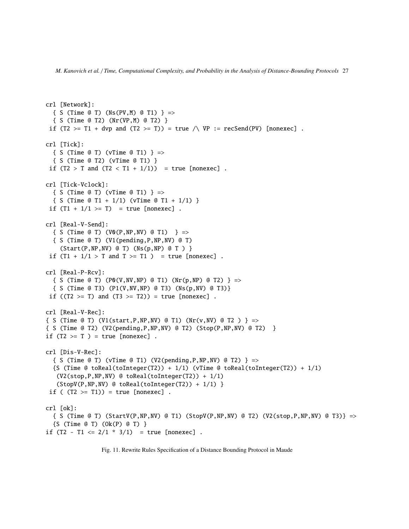```
crl [Network]:
  \{ S (Time @ T) (Ns(PV,M) @ T1) \} =>
  { S (Time @ T2) (Nr(VP,M) @ T2) }
 if (T2 >= T1 + dvp and (T2 >= T)) = true /\ VP := recSend(PV) [nonexec].
crl [Tick]:
  \{ S (Time @ T) (vTime @ T1) } =>
  { S (Time @ T2) (vTime @ T1) }
 if (T2 > T and (T2 < T1 + 1/1) = true [nonexec].
crl [Tick-Vclock]:
  \{ S (Time @ T) (vTime @ T1) \} =>
  \{ S (Time @ T1 + 1/1) (vTime @ T1 + 1/1) }
 if (T1 + 1/1 \ge T) = true [nonexec].
crl [Real-V-Send]:
  \{ S (Time @ T) (VO(P,NP,NV) @ T1) \} =>
  { S (Time @ T) (V1(pending,P,NP,NV) @ T)
    (Start(P, NP, NV) @ T) (Ns(p, NP) @ T )if (T1 + 1/1 > T and T \geq T1 ) = true [nonexec].
crl [Real-P-Rcv]:
  { S (Time @ T) (PO(V, NV, NP) @ T1) (Nr(p, NP) @ T2) } =>
  { S (Time @ T3) (P1(V,NV,NP) @ T3) (Ns(p,NV) @ T3)}
 if ((T2 \gt= T) and (T3 \gt= T2)) = true [nonexec].
crl [Real-V-Rec]:
{ S (Time @ T) (V1(start, P, NP, NV) @ T1) (Nr(v, NV) @ T2 ) } =>
{ S (Time @ T2) (V2(pending,P,NP,NV) @ T2) (Stop(P,NP,NV) @ T2) }
if (T2 \geq T) = true [nonexec].
crl [Dis-V-Rec]:
  { S (Time @ T) (vTime @ T1) (V2(pending,P,NP,NV) @ T2) } =>
  \{S (Time @ toReal(toInteger(T2)) + 1/1) (vTime @ toReal(toInteger(T2)) + 1/1)
   (V2(stop,P,NP,NV) @ toReal(toInteger(T2)) + 1/1)
   (StopV(P, NP, NV) @ token[tolnteger(T2)) + 1/1)if ( (T2 \geq T1)) = true [nonexec].
crl [ok]:
  \{ S (Time @ T) (StartV(P,NP,NV) @ T1) (StopV(P,NP,NV) @ T2) (V2(stop,P,NP,NV) @ T3)} =>
  {S (Time @ T) (Ok(P) @ T) }
if (T2 - T1 \le 2/1 * 3/1) = true [nonexec].
```
Fig. 11. Rewrite Rules Specification of a Distance Bounding Protocol in Maude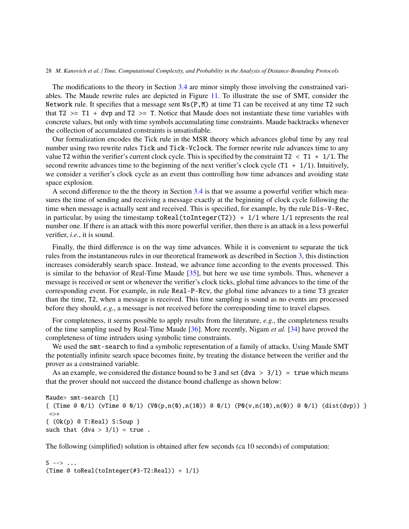The modifications to the theory in Section [3.4](#page-16-0) are minor simply those involving the constrained variables. The Maude rewrite rules are depicted in Figure [11.](#page-26-0) To illustrate the use of SMT, consider the Network rule. It specifies that a message sent Ns(P,M) at time T1 can be received at any time T2 such that  $T2 \geq T1 + \text{dvp}$  and  $T2 \geq T$ . Notice that Maude does not instantiate these time variables with concrete values, but only with time symbols accumulating time constraints. Maude backtracks whenever the collection of accumulated constraints is unsatisfiable.

Our formalization encodes the Tick rule in the MSR theory which advances global time by any real number using two rewrite rules Tick and Tick-Vclock. The former rewrite rule advances time to any value T2 within the verifier's current clock cycle. This is specified by the constraint T2  $\lt$  T1 + 1/1. The second rewrite advances time to the beginning of the next verifier's clock cycle  $(T1 + 1/1)$ . Intuitively, we consider a verifier's clock cycle as an event thus controlling how time advances and avoiding state space explosion.

A second difference to the the theory in Section [3.4](#page-16-0) is that we assume a powerful verifier which measures the time of sending and receiving a message exactly at the beginning of clock cycle following the time when message is actually sent and received. This is specified, for example, by the rule Dis-V-Rec, in particular, by using the timestamp toReal(toInteger(T2)) +  $1/1$  where  $1/1$  represents the real number one. If there is an attack with this more powerful verifier, then there is an attack in a less powerful verifier, *i.e.*, it is sound.

Finally, the third difference is on the way time advances. While it is convenient to separate the tick rules from the instantaneous rules in our theoretical framework as described in Section [3,](#page-7-0) this distinction increases considerably search space. Instead, we advance time according to the events processed. This is similar to the behavior of Real-Time Maude [\[35\]](#page-45-18), but here we use time symbols. Thus, whenever a message is received or sent or whenever the verifier's clock ticks, global time advances to the time of the corresponding event. For example, in rule Real-P-Rcv, the global time advances to a time T3 greater than the time, T2, when a message is received. This time sampling is sound as no events are processed before they should, *e.g.*, a message is not received before the corresponding time to travel elapses.

For completeness, it seems possible to apply results from the literature, *e.g.*, the completeness results of the time sampling used by Real-Time Maude [\[36\]](#page-45-19). More recently, Nigam *et al.* [\[34\]](#page-45-20) have proved the completeness of time intruders using symbolic time constraints.

We used the smt-search to find a symbolic representation of a family of attacks. Using Maude SMT the potentially infinite search space becomes finite, by treating the distance between the verifier and the prover as a constrained variable.

As an example, we considered the distance bound to be 3 and set  $(du - 3/1) =$  true which means that the prover should not succeed the distance bound challenge as shown below:

Maude> smt-search [1]  $\{$  (Time @ 0/1) (vTime @ 0/1) (V0(p,n(0),n(10)) @ 0/1) (P0(v,n(10),n(0)) @ 0/1) (dist(dvp))  $\}$  $\Rightarrow$ { (Ok(p) @ T:Real) S:Soup } such that  $(dva > 3/1) = true$ .

The following (simplified) solution is obtained after few seconds (ca 10 seconds) of computation:

 $S \rightarrow \rightarrow \dots$ (Time @ toReal(toInteger(#3-T2:Real)) + 1/1)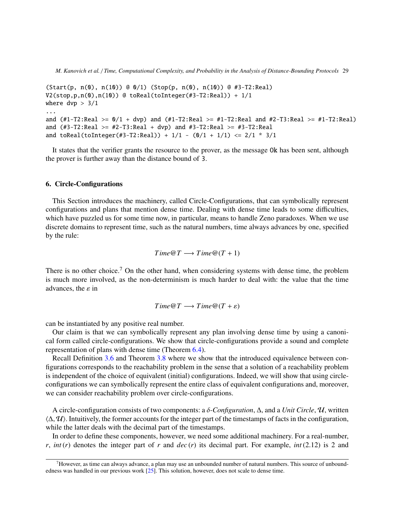```
(Start(p, n(0), n(10)) @ 0/1) (Stop(p, n(0), n(10)) @ #3-T2:Real)
V2(stop,p,n(0),n(10)) @ toReal(toInteger(#3-T2:Real)) + 1/1
where \text{dvp} > 3/1...
and (\#1-T2:Real \ge 0/1 + drop) and (\#1-T2:Real \ge \#1-T2:Real and \#2-T3:Real \ge \#1-T2:Real)and (*3-T2:Real \geq #2-T3:Real + drop) and #3-T2:Real \geq #3-T2:Realand toReal(toInteger(#3-T2:Real)) + 1/1 - (0/1 + 1/1) <= 2/1 * 3/1
```
It states that the verifier grants the resource to the prover, as the message Ok has been sent, although the prover is further away than the distance bound of 3.

# <span id="page-28-0"></span>6. Circle-Configurations

This Section introduces the machinery, called Circle-Configurations, that can symbolically represent configurations and plans that mention dense time. Dealing with dense time leads to some difficulties, which have puzzled us for some time now, in particular, means to handle Zeno paradoxes. When we use discrete domains to represent time, such as the natural numbers, time always advances by one, specified by the rule:

$$
Time@T \longrightarrow Time@(T + 1)
$$

There is no other choice.<sup>7</sup> On the other hand, when considering systems with dense time, the problem is much more involved, as the non-determinism is much harder to deal with: the value that the time advances, the ε in

$$
Time@T \longrightarrow Time@(T + \varepsilon)
$$

can be instantiated by any positive real number.

Our claim is that we can symbolically represent any plan involving dense time by using a canonical form called circle-configurations. We show that circle-configurations provide a sound and complete representation of plans with dense time (Theorem [6.4\)](#page-38-1).

Recall Definition [3.6](#page-12-1) and Theorem [3.8](#page-16-1) where we show that the introduced equivalence between configurations corresponds to the reachability problem in the sense that a solution of a reachability problem is independent of the choice of equivalent (initial) configurations. Indeed, we will show that using circleconfigurations we can symbolically represent the entire class of equivalent configurations and, moreover, we can consider reachability problem over circle-configurations.

A circle-configuration consists of two components: a δ*-Configuration*, <sup>∆</sup>, and a *Unit Circle*, <sup>U</sup>, written  $\langle \Delta, \mathcal{U} \rangle$ . Intuitively, the former accounts for the integer part of the timestamps of facts in the configuration, while the latter deals with the decimal part of the timestamps.

In order to define these components, however, we need some additional machinery. For a real-number, *<sup>r</sup>*, *int* (*r*) denotes the integer part of *<sup>r</sup>* and *dec* (*r*) its decimal part. For example, *int* (2.12) is 2 and

 $<sup>7</sup>$ However, as time can always advance, a plan may use an unbounded number of natural numbers. This source of unbound-</sup> edness was handled in our previous work [\[25\]](#page-45-6). This solution, however, does not scale to dense time.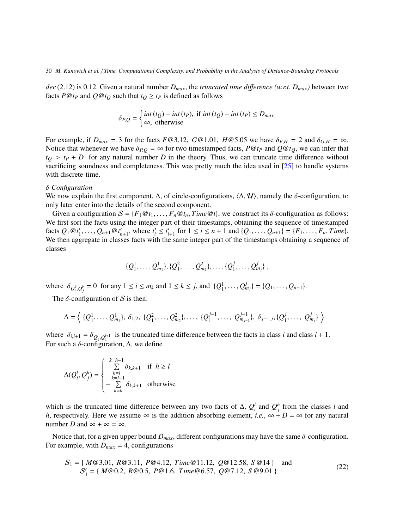*dec* (2.12) is 0.12. Given a natural number  $D_{max}$ , the *truncated time difference* (*w.r.t.*  $D_{max}$ ) between two facts *P* $@t_{P}$  and  $Q@t_{Q}$  such that  $t_{Q} \geq t_{P}$  is defined as follows

$$
\delta_{P,Q} = \begin{cases} \text{int}(t_Q) - \text{int}(t_P), & \text{if } \text{int}(t_Q) - \text{int}(t_P) \le D_{\text{max}} \\ \infty, & \text{otherwise} \end{cases}
$$

For example, if  $D_{max} = 3$  for the facts  $F@3.12$ ,  $G@1.01$ ,  $H@5.05$  we have  $\delta_{FH} = 2$  and  $\delta_{GH} = \infty$ . Notice that whenever we have  $\delta_{P,Q} = \infty$  for two timestamped facts,  $P@t_P$  and  $Q@t_O$ , we can infer that  $t_Q > t_P + D$  for any natural number *D* in the theory. Thus, we can truncate time difference without sacrificing soundness and completeness. This was pretty much the idea used in [\[25\]](#page-45-6) to handle systems with discrete-time.

# δ*-Configuration*

We now explain the first component,  $\Delta$ , of circle-configurations,  $\langle \Delta, \mathcal{U} \rangle$ , namely the  $\delta$ -configuration, to only later enter into the details of the second component.

Given a configuration <sup>S</sup> <sup>=</sup> {*F*1@*t*1, . . . , *<sup>F</sup>n*@*tn*, *Time*@*t*}, we construct its δ-configuration as follows: We first sort the facts using the integer part of their timestamps, obtaining the sequence of timestamped facts  $Q_1@t'_1$  $Q_{n+1}^{\prime} \oplus t'_{n}$ <br>oregate in class  $t'_{n+1}$ , where  $t'_{i}$  $t'_{i} \leq t'_{i}$  $I_{i+1}$  for  $1 \le i \le n+1$  and  $\{Q_1, \ldots, Q_{n+1}\} = \{F_1, \ldots, F_n, Time\}$ . We then aggregate in classes facts with the same integer part of the timestamps obtaining a sequence of classes

$$
\{Q_1^1,\ldots,Q_{m_1}^1\},\{Q_1^2,\ldots,Q_{m_2}^2\},\ldots,\{Q_1^j,\ldots,Q_{m_j}^j\}\,,
$$

where  $\delta_{Q_i^k, Q_j^k} = 0$  for any  $1 \le i \le m_k$  and  $1 \le k \le j$ , and  $\{Q_1^1, \ldots, Q_{m_j}^j\} = \{Q_1, \ldots, Q_{n+1}\}.$ 

The  $\delta$ -configuration of S is then:

$$
\Delta = \left\{ \{Q_1^1, \ldots, Q_{m_1}^1\}, \delta_{1,2}, \{Q_1^2, \ldots, Q_{m_2}^2\}, \ldots, \{Q_1^{j-1}, \ldots, Q_{m_{j-1}}^{j-1}\}, \delta_{j-1,j}, \{Q_1^j, \ldots, Q_{m_j}^j\} \right\}
$$

where  $\delta_{i,i+1} = \delta_{Q_i^i, Q_i^{i+1}}$  is the truncated time difference between the facts in class *i* and class *i* + 1. For such a  $\delta$ -configuration,  $\Delta$ , we define

$$
\Delta(Q_i^l, Q_j^h) = \begin{cases} \sum_{\substack{k=l \ k=l}}^{k=h-1} \delta_{k,k+1} & \text{if } h \ge l \\ -\sum_{k=l} \delta_{k,k+1} & \text{otherwise} \end{cases}
$$

which is the truncated time difference between any two facts of  $\Delta$ ,  $Q_i^l$  and  $Q_j^h$  from the classes *l* and *h*, respectively. Here we assume  $\infty$  is the addition absorbing element, *i.e.*,  $\infty + D = \infty$  for any natural number *D* and  $\infty + \infty = \infty$ .

Notice that, for a given upper bound  $D_{max}$ , different configurations may have the same  $\delta$ -configuration. For example, with  $D_{max} = 4$ , configurations

<span id="page-29-0"></span>
$$
S_1 = \{ M@3.01, R@3.11, P@4.12, Time@11.12, Q@12.58, S@14 \} and S'_1 = \{ M@0.2, R@0.5, P@1.6, Time@6.57, Q@7.12, S@9.01 \}
$$
 (22)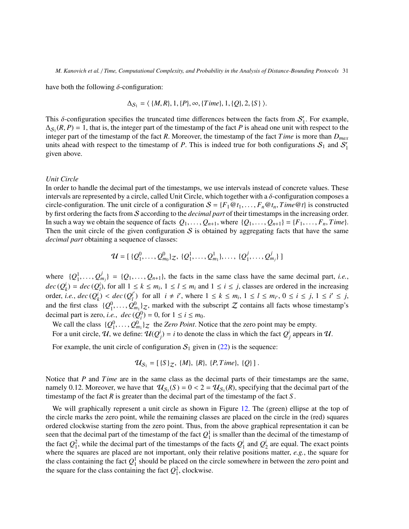have both the following  $\delta$ -configuration:

$$
\Delta_{S_1} = \langle \{M, R\}, 1, \{P\}, \infty, \{Time\}, 1, \{Q\}, 2, \{S\} \rangle.
$$

This  $\delta$ -configuration specifies the truncated time differences between the facts from  $S'_{\beta}$ <br> $\Delta_{\beta}$  (R, P) = 1, that is the integer part of the timestamp of the fact P is ahead one unit with  $\frac{1}{1}$ . For example,  $\Delta_{S_1}(R, P) = 1$ , that is, the integer part of the timestamp of the fact *P* is ahead one unit with respect to the integer part of the timestamp of the fact *R*. Moreover, the timestamp of the fact *Time* is more than *D* integer part of the timestamp of the fact *R*. Moreover, the timestamp of the fact *Time* is more than *Dmax* units ahead with respect to the timestamp of *P*. This is indeed true for both configurations  $S_1$  and  $S'_1$ 1 given above.

## *Unit Circle*

In order to handle the decimal part of the timestamps, we use intervals instead of concrete values. These intervals are represented by a circle, called Unit Circle, which together with a  $\delta$ -configuration composes a circle-configuration. The unit circle of a configuration  $S = \{F_1@t_1, \ldots, F_n@t_n, Time@t\}$  is constructed by first ordering the facts from S according to the *decimal part* of their timestamps in the increasing order. In such a way we obtain the sequence of facts  $Q_1, \ldots, Q_{n+1}$ , where  $\{Q_1, \ldots, Q_{n+1}\} = \{F_1, \ldots, F_n, Time\}$ . Then the unit circle of the given configuration  $S$  is obtained by aggregating facts that have the same *decimal part* obtaining a sequence of classes:

$$
\mathcal{U} = [\{Q_1^0, \ldots, Q_{m_0}^0\}_Z, \{Q_1^1, \ldots, Q_{m_1}^1\}, \ldots, \{Q_1^j, \ldots, Q_{m_j}^j\}]
$$

where  $\{Q_1^1, \ldots, Q_{m_j}^j\} = \{Q_1, \ldots, Q_{n+1}\}\$ , the facts in the same class have the same decimal part, *i.e.*,  $d_{\text{loc}}(Q_1^j) = d_{\text{loc}}(Q_1^j)$  for all  $1 \leq k \leq m$ , and  $1 \leq i \leq j$  classes are ordered in the increasing  $dec(Q_k^i) = dec(Q_l^i)$ , for all  $1 \le k \le m_i$ ,  $1 \le l \le m_i$  and  $1 \le i \le j$ , classes are ordered in the increasing order, *i.e.*,  $dec(Q_k^i) < dec(Q_l^i)$ <br>and the first along  $(Q_l^0)$ *l*<sup> $l$ </sup>
<sub>*l*</sub>

(*i*) for all  $i \neq i'$ , where  $1 \leq k \leq m_i$ ,  $1 \leq l \leq m_{i'}$ ,  $0 \leq i \leq j$ ,  $1 \leq i' \leq j$ , and the first class  $\{Q_1^0, \ldots, Q_m^0\}_{Z}$ , marked with the subscript  $Z$  contains all facts whose timestamp's decimal part is zero, i.e.,  $deg(Q_1^0) = 0$  for  $1 \le i \le m$ . decimal part is zero, *i.e.*,  $dec(Q_i^0) = 0$ , for  $1 \le i \le m_0$ .

We call the class  $\{Q_1^0, \ldots, Q_{m_1}^0\}_Z$  the *Zero Point*. Notice that the zero point may be empty.<br>For a unit giral of the define:  $\mathcal{U}(Q^i) = i$  to denote the class in which the fact  $Q^i$  appears. For a unit circle, U, we define:  $U(Q_j^i) = i$  to denote the class in which the fact  $Q_j^i$  appears in U.

For example, the unit circle of configuration  $S_1$  given in [\(22\)](#page-29-0) is the sequence:

$$
\mathcal{U}_{S_1} = [\{S\}_{Z}, \{M\}, \{R\}, \{P, Time\}, \{Q\}].
$$

Notice that *P* and *Time* are in the same class as the decimal parts of their timestamps are the same, namely 0.12. Moreover, we have that  $\mathcal{U}_{S_1}(S) = 0 < 2 = \mathcal{U}_{S_1}(R)$ , specifying that the decimal part of the function of the fact S timestamp of the fact *R* is greater than the decimal part of the timestamp of the fact *S* .

We will graphically represent a unit circle as shown in Figure [12.](#page-31-0) The (green) ellipse at the top of the circle marks the zero point, while the remaining classes are placed on the circle in the (red) squares ordered clockwise starting from the zero point. Thus, from the above graphical representation it can be seen that the decimal part of the timestamp of the fact  $Q_1^1$  is smaller than the decimal of the timestamp of the fact  $Q_1^2$ , while the decimal part of the timestamps of the facts  $Q_1^i$  and  $Q_2^i$  are equal. The exact points where the squares are placed are not important, only their relative positions matter, *e.g.*, the square for the class containing the fact  $Q_1^1$  should be placed on the circle somewhere in between the zero point and the square for the class containing the fact  $Q_1^2$ , clockwise.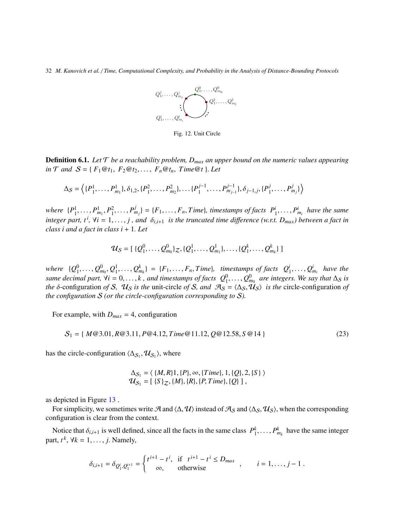

Fig. 12. Unit Circle

<span id="page-31-0"></span>Definition 6.1. *Let* T *be a reachability problem, Dmax an upper bound on the numeric values appearing in*  $T$  *and*  $S = \{F_1@t_1, F_2@t_2, \ldots, F_n@t_n, Time@t\}$ . Let

$$
\Delta_{S} = \left\{ \{P_1^1, \ldots, P_{m_1}^1\}, \delta_{1,2}, \{P_1^2, \ldots, P_{m_2}^2\}, \ldots, \{P_1^{j-1}, \ldots, P_{m_{j-1}}^{j-1}\}, \delta_{j-1,j}, \{P_1^j, \ldots, P_{m_j}^j\} \right\}
$$

where  $\{P_1^1, \ldots, P_{m_1}^1, P_1^2, \ldots, P_{m_j}^j\} = \{F_1, \ldots, F_n, Time\}$ , timestamps of facts  $P_1^i, \ldots, P_{m_i}^i$  have the same *integer part, t<sup><i>i*</sup>,  $\forall i = 1, \ldots, j$ , and  $\delta_{i,i+1}$  *is the truncated time difference (w.r.t.*  $D_{max}$ *) between a fact in*<br>*class i and a fact in class i* + 1. Let *class i and a fact in class i* + 1*. Let*

$$
\mathcal{U}_{\mathcal{S}} = [\ \{Q_1^0, \ldots, Q_{m_0}^0\}_Z, \{Q_1^1, \ldots, Q_{m_1}^1\}, \ldots, \{Q_1^k, \ldots, Q_{m_k}^k\} \ ]
$$

where  $\{Q_1^0, \ldots, Q_m^0, Q_1^1, \ldots, Q_{m_k}^k\} = \{F_1, \ldots, F_n, Time\}$ , timestamps of facts  $Q_1^i, \ldots, Q_{m_i}^i$  have the *same decimal part,*  $\forall i = 0, ..., k$ , and timestamps of facts  $Q_1^0, ..., Q_m^0$  are integers. We say that  $\Delta_S$  is the configuration of S. 4Le is the unit-circle of S. and  $\mathcal{A}_S = \Delta_S \mathcal{A}_S$  is the circle-configuration of *the*  $\delta$ -configuration *of* S,  $U_S$  *is the* unit-circle *of* S, and  $\mathcal{A}_S = \langle \Delta_S, \mathcal{U}_S \rangle$  *is the* circle-configuration *of the configuration* S *(or the circle-configuration corresponding to* S*).*

For example, with  $D_{max} = 4$ , configuration

$$
S_1 = \{ M@3.01, R@3.11, P@4.12, Time@11.12, Q@12.58, S@14 \}
$$
\n
$$
(23)
$$

has the circle-configuration  $\langle \Delta_{\mathcal{S}_1}, \mathcal{U}_{\mathcal{S}_1} \rangle$ , where

<span id="page-31-1"></span>
$$
\Delta_{S_1} = \langle \{M, R\} \, 1, \{P\}, \infty, \{Time\}, \, 1, \{Q\}, \, 2, \{S\} \rangle
$$
  

$$
\mathcal{U}_{S_1} = [\{S\}_{Z}, \{M\}, \{R\}, \{P, Time\}, \{Q\} \},
$$

as depicted in Figure [13](#page-32-0) .

For simplicity, we sometimes write  $\mathcal{A}$  and  $\langle \Delta, \mathcal{U} \rangle$  instead of  $\mathcal{A}_S$  and  $\langle \Delta_S, \mathcal{U}_S \rangle$ , when the corresponding configuration is clear from the context.

Notice that  $\delta_{i,i+1}$  is well defined, since all the facts in the same class  $P_1^k, \ldots, P_{m_k}^k$  have the same integer part,  $t^k$ ,  $\forall k = 1, \ldots, j$ . Namely,

$$
\delta_{i,i+1} = \delta_{Q_1^i, Q_1^{i+1}} = \begin{cases} t^{i+1} - t^i, & \text{if } t^{i+1} - t^i \le D_{max} \\ \infty, & \text{otherwise} \end{cases}, \quad i = 1, \ldots, j-1.
$$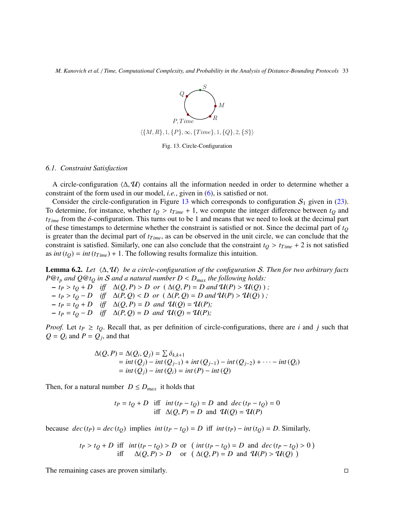

Fig. 13. Circle-Configuration

#### <span id="page-32-0"></span>*6.1. Constraint Satisfaction*

A circle-configuration  $\langle \Delta, \mathcal{U} \rangle$  contains all the information needed in order to determine whether a constraint of the form used in our model, *i.e.*, given in [\(6\)](#page-8-1), is satisfied or not.

Consider the circle-configuration in Figure [13](#page-32-0) which corresponds to configuration  $S_1$  given in [\(23\)](#page-31-1). To determine, for instance, whether  $t_Q > t_{Time} + 1$ , we compute the integer difference between  $t_Q$  and *<sup>t</sup>Time* from the <sup>δ</sup>-configuration. This turns out to be 1 and means that we need to look at the decimal part of these timestamps to determine whether the constraint is satisfied or not. Since the decimal part of *t<sup>Q</sup>* is greater than the decimal part of *tTime*, as can be observed in the unit circle, we can conclude that the constraint is satisfied. Similarly, one can also conclude that the constraint  $t_Q > t_{Time} + 2$  is not satisfied as *int*  $(t<sub>O</sub>) = int (t<sub>Time</sub>) + 1$ . The following results formalize this intuition.

<span id="page-32-1"></span>Lemma 6.2. *Let* <sup>h</sup>∆, Ui *be a circle-configuration of the configuration* <sup>S</sup>*. Then for two arbitrary facts P*@ $t$ <sup>*p*</sup> *and*  $Q$ @ $t$ <sup>*Q*</sup> *in S and a natural number D <*  $D$ *<sub><i>max</sub> the following holds:*</sub>

 $-t_P > t_Q + D$  *iff* ∆(*Q*, *P*) > *D* or (∆(*Q*, *P*) = *D* and  $U(P) > U(Q)$ );  $-t_P > t_Q - D$  *iff* ∆(*P*, *Q*) < *D* or (∆(*P*, *Q*) = *D* and  $U(P) > U(Q)$ );

 $-t_P = t_Q + D$  iff  $\Delta(Q, P) = D$  and  $\mathcal{U}(Q) = \mathcal{U}(P)$ ;

 $-t_P = t_Q - D$  iff  $\Delta(P,Q) = D$  and  $\mathcal{U}(Q) = \mathcal{U}(P)$ ;

*Proof.* Let  $t_P \geq t_O$ . Recall that, as per definition of circle-configurations, there are *i* and *j* such that  $Q = Q_i$  and  $P = Q_j$ , and that

$$
\Delta(Q, P) = \Delta(Q_i, Q_j) = \sum \delta_{k,k+1}
$$
  
=  $int (Q_j) - int (Q_{j-1}) + int (Q_{j-1}) - int (Q_{j-2}) + \cdots - int (Q_i)$   
=  $int (Q_j) - int (Q_i) = int (P) - int (Q)$ 

Then, for a natural number  $D \le D_{max}$  it holds that

$$
t_P = t_Q + D \quad \text{iff} \quad int \left( t_P - t_Q \right) = D \quad \text{and} \quad dec \left( t_P - t_Q \right) = 0
$$
\n
$$
\text{iff} \quad \Delta(Q, P) = D \quad \text{and} \quad \mathcal{U}(Q) = \mathcal{U}(P)
$$

because  $dec(t_P) = dec(t_Q)$  implies  $int(t_P - t_Q) = D$  iff  $int(t_P) - int(t_Q) = D$ . Similarly,

$$
t_P > t_Q + D \text{ iff } int(t_P - t_Q) > D \text{ or } (int(t_P - t_Q) = D \text{ and } dec(t_P - t_Q) > 0)
$$
  
iff  $\Delta(Q, P) > D$  or  $(\Delta(Q, P) = D \text{ and } U(P) > U(Q))$ 

The remaining cases are proven similarly.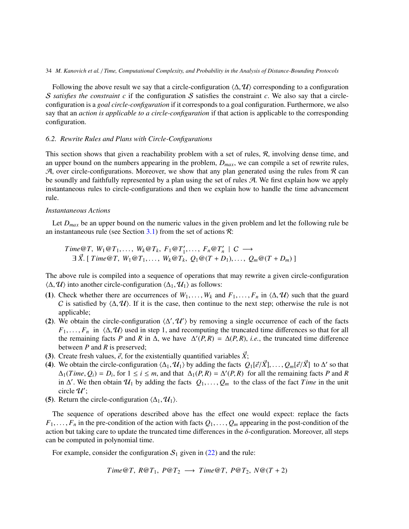Following the above result we say that a circle-configuration  $\langle \Delta, \mathcal{U} \rangle$  corresponding to a configuration S *satisfies the constraint c* if the configuration S satisfies the constraint *c*. We also say that a circleconfiguration is a *goal circle-configuration* if it corresponds to a goal configuration. Furthermore, we also say that an *action is applicable to a circle-configuration* if that action is applicable to the corresponding configuration.

# *6.2. Rewrite Rules and Plans with Circle-Configurations*

This section shows that given a reachability problem with a set of rules, R, involving dense time, and an upper bound on the numbers appearing in the problem, *Dmax*, we can compile a set of rewrite rules,  $A$ , over circle-configurations. Moreover, we show that any plan generated using the rules from  $R$  can be soundly and faithfully represented by a plan using the set of rules A. We first explain how we apply instantaneous rules to circle-configurations and then we explain how to handle the time advancement rule.

## *Instantaneous Actions*

Let  $D_{max}$  be an upper bound on the numeric values in the given problem and let the following rule be an instantaneous rule (see Section [3.1\)](#page-7-4) from the set of actions  $\mathcal{R}$ :

$$
Time@T, W_1@T_1, \ldots, W_k@T_k, F_1@T'_1, \ldots, F_n@T'_n \mid C \longrightarrow
$$
  

$$
\exists \vec{X}. [Time@T, W_1@T_1, \ldots, W_k@T_k, Q_1@(T+D_1), \ldots, Q_m@(T+D_m)]
$$

The above rule is compiled into a sequence of operations that may rewrite a given circle-configuration  $\langle \Delta, \mathcal{U} \rangle$  into another circle-configuration  $\langle \Delta_1, \mathcal{U}_1 \rangle$  as follows:

- (1). Check whether there are occurrences of  $W_1, \ldots, W_k$  and  $F_1, \ldots, F_n$  in  $\langle \Delta, \mathcal{U} \rangle$  such that the guard C is satisfied by  $\langle \Delta, \mathcal{U} \rangle$ . If it is the case, then continue to the next step; otherwise the rule is not applicable;
- (2). We obtain the circle-configuration  $\langle \Delta', \mathcal{U}' \rangle$  by removing a single occurrence of each of the facts  $F_1$ . *F*<sub>1</sub>, ..., *F<sub>n</sub>* in  $\langle \Delta, \mathcal{U} \rangle$  used in step 1, and recomputing the truncated time differences so that for all the remaining facts *P* and *R* in  $\Delta$ , we have  $\Delta'(P, R) = \Delta(P, R)$ , *i.e.*, the truncated time difference between *P* and *R* is preserved: between *P* and *R* is preserved;
- (3). Create fresh values,  $\vec{e}$ , for the existentially quantified variables  $\vec{X}$ ;
- (4). We obtain the circle-configuration  $\langle \Delta_1, U_1 \rangle$  by adding the facts  $Q_1[\vec{e}/\vec{X}], \ldots, Q_m[\vec{e}/\vec{X}]$  to  $\Delta'$  so that  $\Delta_1(T_{im\ell}, Q_1) = D_1$  for  $1 \le i \le m$  and that  $\Delta_1(P, R) = \Delta'(PR)$  for all the remaining facts  $P$  and  $\Delta_1(Time, Q_i) = D_i$ , for  $1 \le i \le m$ , and that  $\Delta_1(P, R) = \Delta'(P, R)$  for all the remaining facts *P* and *R* in  $\Delta'$ . We then obtain *IL*, by adding the facts *Q*, *Q* to the class of the fact *Time* in the unit in  $\Delta'$ . We then obtain  $\mathcal{U}_1$  by adding the facts  $Q_1, \ldots, Q_m$  to the class of the fact *Time* in the unit circle  $\mathcal{U}'$ . circle  $\mathcal{U}'$ ;
- (5). Return the circle-configuration  $\langle \Delta_1, \mathcal{U}_1 \rangle$ .

The sequence of operations described above has the effect one would expect: replace the facts  $F_1, \ldots, F_n$  in the pre-condition of the action with facts  $Q_1, \ldots, Q_m$  appearing in the post-condition of the action but taking care to update the truncated time differences in the  $\delta$ -configuration. Moreover, all steps can be computed in polynomial time.

For example, consider the configuration  $S_1$  given in [\(22\)](#page-29-0) and the rule:

$$
Time@T, R@T_1, P@T_2 \longrightarrow Time@T, P@T_2, N@(T+2)
$$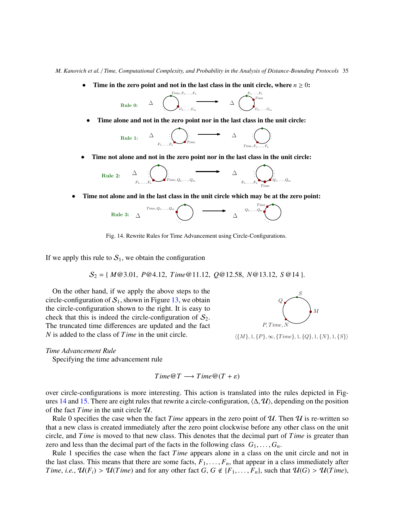$F_1, \ldots, F_n$ 

 $G_1, \ldots, G_m$ 

<span id="page-34-0"></span>• Time in the zero point and not in the last class in the unit circle, where  $n \geq 0$ :

Rule 0: 
$$
\Delta
$$
  $\overbrace{\bigcup}_{G_1,...,G_m}^{Time, F_1,..., F_n}$   $\Delta$   $\overbrace{\bigcup}_{G_1,...,G_m}^{F_1,..., F_n}$ 

• Time alone and not in the zero point nor in the last class in the unit circle:



Time not alone and not in the zero point nor in the last class in the unit circle:



• Time not alone and in the last class in the unit circle which may be at the zero point:



Fig. 14. Rewrite Rules for Time Advancement using Circle-Configurations.

If we apply this rule to  $S_1$ , we obtain the configuration

$$
S_2 = \{ M@3.01, P@4.12, Time@11.12, Q@12.58, N@13.12, S@14 \}.
$$

On the other hand, if we apply the above steps to the circle-configuration of  $S_1$ , shown in Figure [13,](#page-32-0) we obtain the circle-configuration shown to the right. It is easy to check that this is indeed the circle-configuration of  $S_2$ . The truncated time differences are updated and the fact *N* is added to the class of *Time* in the unit circle.



*Time Advancement Rule*

Specifying the time advancement rule

$$
Time@T \longrightarrow Time@(T + \varepsilon)
$$

over circle-configurations is more interesting. This action is translated into the rules depicted in Fig-ures [14](#page-34-0) and [15.](#page-35-0) There are eight rules that rewrite a circle-configuration,  $\langle \Delta, \mathcal{U} \rangle$ , depending on the position of the fact  $Time$  in the unit circle  $U$ .

Rule 0 specifies the case when the fact *Time* appears in the zero point of  $U$ . Then  $U$  is re-written so that a new class is created immediately after the zero point clockwise before any other class on the unit circle, and *Time* is moved to that new class. This denotes that the decimal part of *Time* is greater than zero and less than the decimal part of the facts in the following class  $G_1, \ldots, G_n$ .

Rule 1 specifies the case when the fact *Time* appears alone in a class on the unit circle and not in the last class. This means that there are some facts,  $F_1, \ldots, F_n$ , that appear in a class immediately after *Time*, *i.e.*,  $\mathcal{U}(F_i) > \mathcal{U}(Time)$  and for any other fact  $G, G \notin \{F_1, \ldots, F_n\}$ , such that  $\mathcal{U}(G) > \mathcal{U}(Time)$ ,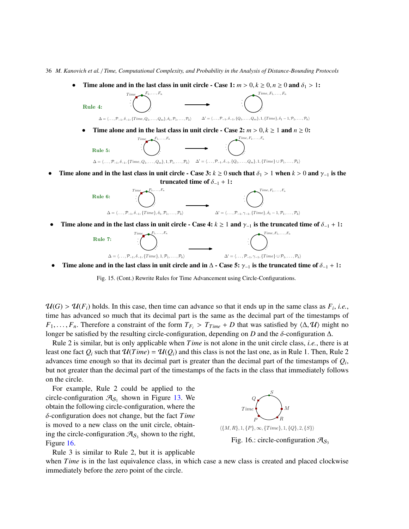<span id="page-35-0"></span>36 *M. Kanovich et al.* / *Time, Computational Complexity, and Probability in the Analysis of Distance-Bounding Protocols*



• Time alone and in the last class in unit circle and in  $\Delta$  - Case 5:  $\gamma_{-1}$  is the truncated time of  $\delta_{-1}$  + 1:

Fig. 15. (Cont.) Rewrite Rules for Time Advancement using Circle-Configurations.

 $U(G) > U(F_i)$  holds. In this case, then time can advance so that it ends up in the same class as  $F_i$ , *i.e.*, time has advanced so much that its decimal part is the same as the decimal part of the timestames of time has advanced so much that its decimal part is the same as the decimal part of the timestamps of *F*<sub>1</sub>, ..., *F*<sub>*n*</sub>. Therefore a constraint of the form  $T_{F_i} > T_{Time} + D$  that was satisfied by  $\langle \Delta, \mathcal{U} \rangle$  might no longer be satisfied by the resulting circle-configuration, depending on *<sup>D</sup>* and the δ-configuration <sup>∆</sup>.

Rule 2 is similar, but is only applicable when *Time* is not alone in the unit circle class, *i.e.*, there is at least one fact  $Q_i$  such that  $U(Time) = U(Q_i)$  and this class is not the last one, as in Rule 1. Then, Rule 2 advances time enough so that its decimal part is greater than the decimal part of the timestamps of *Q<sup>i</sup>* , but not greater than the decimal part of the timestamps of the facts in the class that immediately follows on the circle.

For example, Rule 2 could be applied to the circle-configuration  $\mathcal{A}_{S_1}$  shown in Figure [13.](#page-32-0) We obtain the following circle-configuration, where the δ-configuration does not change, but the fact *Time* is moved to a new class on the unit circle, obtaining the circle-configuration  $\mathcal{A}_{S_3}$  shown to the right, Figure [16.](#page-35-1)

<span id="page-35-1"></span>

Rule 3 is similar to Rule 2, but it is applicable

when *Time* is in the last equivalence class, in which case a new class is created and placed clockwise immediately before the zero point of the circle.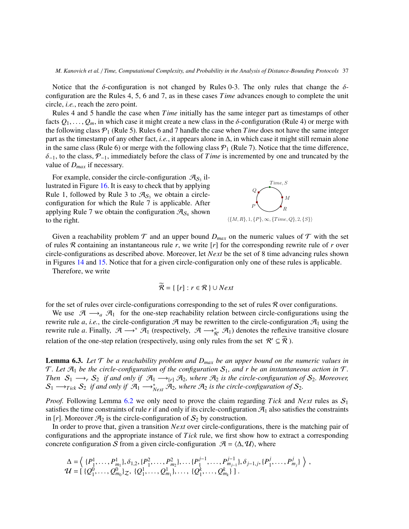Notice that the  $\delta$ -configuration is not changed by Rules 0-3. The only rules that change the  $\delta$ configuration are the Rules 4, 5, 6 and 7, as in these cases *Time* advances enough to complete the unit circle, *i.e.*, reach the zero point.

Rules 4 and 5 handle the case when *Time* initially has the same integer part as timestamps of other facts  $Q_1, \ldots, Q_m$ , in which case it might create a new class in the  $\delta$ -configuration (Rule 4) or merge with the following class  $P_1$  (Rule 5). Rules 6 and 7 handle the case when *Time* does not have the same integer part as the timestamp of any other fact, *i.e.*, it appears alone in ∆, in which case it might still remain alone in the same class (Rule 6) or merge with the following class  $P_1$  (Rule 7). Notice that the time difference, δ−1, to the class, <sup>P</sup>−1, immediately before the class of *Time* is incremented by one and truncated by the value of *Dmax* if necessary.

For example, consider the circle-configuration  $\mathcal{A}_{S_3}$  illustrated in Figure [16.](#page-35-1) It is easy to check that by applying Rule 1, followed by Rule 3 to  $\mathcal{A}_{S_3}$  we obtain a circleconfiguration for which the Rule 7 is applicable. After applying Rule 7 we obtain the configuration  $\mathcal{A}_{S_4}$  shown to the right.



Given a reachability problem  $\mathcal T$  and an upper bound  $D_{max}$  on the numeric values of  $\mathcal T$  with the set of rules R containing an instantaneous rule *r*, we write [*r*] for the corresponding rewrite rule of *r* over circle-configurations as described above. Moreover, let *Next* be the set of 8 time advancing rules shown in Figures [14](#page-34-0) and [15.](#page-35-0) Notice that for a given circle-configuration only one of these rules is applicable.

Therefore, we write

$$
\widetilde{\mathcal{R}} = \{ [r] : r \in \mathcal{R} \} \cup Next
$$

for the set of rules over circle-configurations corresponding to the set of rules  $R$  over configurations.

We use  $\mathcal{A} \longrightarrow_a \mathcal{A}_1$  for the one-step reachability relation between circle-configurations using the rewrite rule *a*, *i.e.*, the circle-configuration  $A$  may be rewritten to the circle-configuration  $A_1$  using the rewrite rule *a*. Finally,  $\mathcal{A} \longrightarrow^* \mathcal{A}_1$  (respectively,  $\mathcal{A} \longrightarrow^*_{\mathcal{R}'} \mathcal{A}_1$ ) denotes the reflexive transitive closure relation of the one-step relation (respectively, using only rules from the set  $\mathcal{R}' \subseteq \widetilde{\mathcal{R}}$ ).

<span id="page-36-0"></span>**Lemma 6.3.** Let  $\mathcal T$  be a reachability problem and  $D_{max}$  be an upper bound on the numeric values in  $\mathcal{T}$ *. Let*  $\mathcal{A}_1$  *be the circle-configuration of the configuration*  $\mathcal{S}_1$ *, and r be an instantaneous action in*  $\mathcal{T}$ *. Then*  $S_1 \longrightarrow_r S_2$  *if and only if*  $\mathcal{A}_1 \longrightarrow_{[r]} \mathcal{A}_2$ *, where*  $\mathcal{A}_2$  *is the circle-configuration of*  $S_2$ *. Moreover,*  $S_1 \longrightarrow_{Tick} S_2$  *if and only if*  $\mathcal{A}_1 \longrightarrow_{Next}^* \mathcal{A}_2$ *, where*  $\mathcal{A}_2$  *is the circle-configuration of*  $S_2$ *.* 

*Proof.* Following Lemma [6.2](#page-32-1) we only need to prove the claim regarding *Tick* and *Next* rules as  $S_1$ satisfies the time constraints of rule  $r$  if and only if its circle-configuration  $\mathcal{A}_1$  also satisfies the constraints in [*r*]. Moreover  $\mathcal{A}_2$  is the circle-configuration of  $\mathcal{S}_2$  by construction.

In order to prove that, given a transition *Next* over circle-configurations, there is the matching pair of configurations and the appropriate instance of *Tick* rule, we first show how to extract a corresponding concrete configuration S from a given circle-configuration  $A = \langle \Delta, \mathcal{U} \rangle$ , where

$$
\Delta = \left\{ \{P_1^1, \ldots, P_{m_1}^1\}, \delta_{1,2}, \{P_1^2, \ldots, P_{m_2}^2\}, \ldots \{P_1^{j-1}, \ldots, P_{m_{j-1}}^{j-1}\}, \delta_{j-1,j}, \{P_1^j, \ldots, P_{m_j}^j\} \right\},
$$
  

$$
\mathcal{U} = \left[ \{Q_1^0, \ldots, Q_{m_0}^0\}_{\mathcal{Z}}, \{Q_1^1, \ldots, Q_{m_1}^1\}, \ldots, \{Q_1^k, \ldots, Q_{m_k}^k\} \right].
$$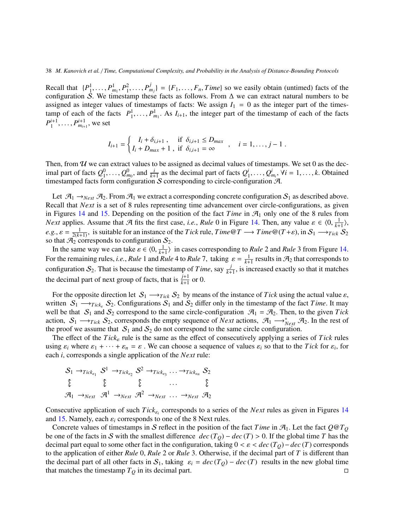Recall that  $\{P_1^1, \ldots, P_{m_1}^1, P_1^2, \ldots, P_{m_j}^j\} = \{F_1, \ldots, F_n, Time\}$  so we easily obtain (untimed) facts of the configuration S. We timestamp these facts as follows. From  $\Delta$  we can extract natural numbers to be assigned as integer values of timestamps of facts: We assign  $I_1 = 0$  as the integer part of the timestamp of each of the facts  $P_1^1, \ldots, P_{m_1}^1$ . As  $I_{i+1}$ , the integer part of the timestamp of each of the facts  $P_1^{i+1}$  we set  $P_1^{i+1}, \ldots, P_{m_{i+1}}^{i+1}$ , we set

$$
I_{i+1} = \begin{cases} I_i + \delta_{i,i+1} , & \text{if } \delta_{i,i+1} \leq D_{max} \\ I_i + D_{max} + 1 , & \text{if } \delta_{i,i+1} = \infty \end{cases} , \quad i = 1, \ldots, j-1.
$$

Then, from  $U$  we can extract values to be assigned as decimal values of timestamps. We set 0 as the decimal part of facts  $Q_1^0, \ldots, Q_m^0$ , and  $\frac{i}{k+1}$  as the decimal part of facts  $Q_1^i, \ldots, Q_m^i$ ,  $\forall i = 1, \ldots, k$ . Obtained timestamped facts form configuration  $S$  corresponding to circle-configuration  $A$ .

Let  $\mathcal{A}_1 \rightarrow_{Next} \mathcal{A}_2$ . From  $\mathcal{A}_1$  we extract a corresponding concrete configuration  $\mathcal{S}_1$  as described above. Recall that *Next* is a set of 8 rules representing time advancement over circle-configurations, as given in Figures [14](#page-34-0) and [15.](#page-35-0) Depending on the position of the fact *Time* in  $\mathcal{A}_1$  only one of the 8 rules from *Next* applies. Assume that  $\mathcal{A}$  fits the first case, *i.e.*, *Rule* 0 in Figure [14.](#page-34-0) Then, any value  $\varepsilon \in \langle 0, \frac{1}{k+1} \rangle$ ,  $e.g., \varepsilon = \frac{1}{2(k+1)}$ , is suitable for an instance of the *Tick* rule,  $Time@T \rightarrow Time@(T+\varepsilon)$ , in  $S_1 \rightarrow_{Tick} S_2$ <br>so that  $\mathcal{A}_2$  corresponds to configuration  $S_2$ so that  $\overline{\mathcal{A}_2}$  corresponds to configuration  $\mathcal{S}_2$ .

In the same way we can take  $\varepsilon \in \langle 0, \frac{1}{k+1} \rangle$  in cases corresponding to *Rule* 2 and *Rule* 3 from Figure [14.](#page-34-0) For the remaining rules, *i.e.*, *Rule* 1 and *Rule* 4 to *Rule* 7, taking  $\varepsilon = \frac{1}{k+1}$  results in  $\mathcal{A}_2$  that corresponds to configuration  $S_2$ . That is because the timestamp of *Time*, say  $\frac{j}{k+1}$  $\frac{J}{k+1}$ , is increased exactly so that it matches the decimal part of next group of facts, that is  $\frac{j+1}{k+1}$  or 0.

For the opposite direction let  $S_1 \rightarrow r_{ick} S_2$  by means of the instance of *Tick* using the actual value  $\varepsilon$ , written  $S_1 \longrightarrow_{Tick_s} S_2$ . Configurations  $S_1$  and  $S_2$  differ only in the timestamp of the fact *Time*. It may well be that  $S_1$  and  $S_2$  correspond to the same circle-configuration  $\mathcal{A}_1 = \mathcal{A}_2$ . Then, to the given *Tick* action,  $S_1 \rightarrow_{Tick} S_2$ , corresponds the empty sequence of *Next* actions,  $\mathcal{A}_1 \rightarrow_{Next}^* \mathcal{A}_2$ . In the rest of the proof we assume that  $S_1$  and  $S_2$  do not correspond to the same circle configuration.

The effect of the  $Tick_{\varepsilon}$  rule is the same as the effect of consecutively applying a series of  $Tick$  rules using  $\varepsilon_i$  where  $\varepsilon_1 + \cdots + \varepsilon_n = \varepsilon$ . We can choose a sequence of values  $\varepsilon_i$  so that to the *Tick* for  $\varepsilon_i$ , for each *i* corresponds a single application of the *Next* rule: each *i*, corresponds a single application of the *Next* rule:

$$
S_1 \rightarrow_{Tick_{\varepsilon_1}} S^1 \rightarrow_{Tick_{\varepsilon_2}} S^2 \rightarrow_{Tick_{\varepsilon_3}} \cdots \rightarrow_{Tick_{\varepsilon_n}} S_2
$$
  

$$
\begin{array}{cccccc}\n\hat{\xi} & \hat{\xi} & \cdots & \hat{\xi} \\
\mathcal{A}_1 & \rightarrow_{Next} & \mathcal{A}^1 \rightarrow_{Next} & \mathcal{A}^2 \rightarrow_{Next} \cdots & \rightarrow_{Next} & \mathcal{A}_2\n\end{array}
$$

Consecutive application of such *Tick*ε*<sup>i</sup>* corresponds to a series of the *Next* rules as given in Figures [14](#page-34-0) and [15.](#page-35-0) Namely, each  $\varepsilon_i$  corresponds to one of the 8 Next rules.

Concrete values of timestamps in S reflect in the position of the fact *Time* in  $\mathcal{A}_1$ . Let the fact  $Q@T_Q$ be one of the facts in S with the smallest difference  $dec(T_0) - dec(T) > 0$ . If the global time *T* has the decimal part equal to some other fact in the configuration, taking  $0 < \varepsilon < dec(T_0) - dec(T)$  corresponds to the application of either *Rule* 0, *Rule* 2 or *Rule* 3. Otherwise, if the decimal part of *T* is different than the decimal part of all other facts in  $S_1$ , taking  $\varepsilon_i = dec(T_Q) - dec(T)$  results in the new global time that matches the timestamp  $T_O$  in its decimal part. that matches the timestamp  $T_Q$  in its decimal part.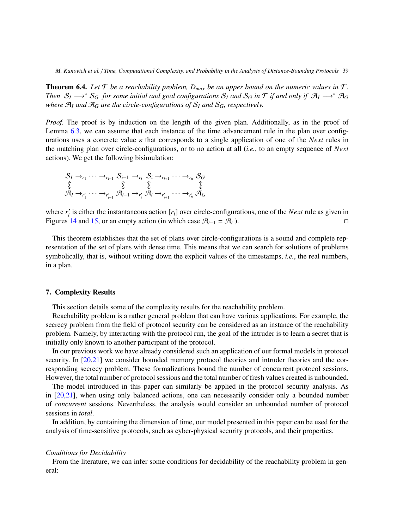<span id="page-38-1"></span>**Theorem 6.4.** Let  $\mathcal T$  be a reachability problem,  $D_{max}$  be an upper bound on the numeric values in  $\mathcal T$ . *Then*  $S_I \rightarrow S_G$  *for some initial and goal configurations*  $S_I$  *and*  $S_G$  *in*  $T$  *if and only if*  $\mathcal{A}_I \rightarrow^* \mathcal{A}_G$ *where*  $\mathcal{A}_I$  *and*  $\mathcal{A}_G$  *are the circle-configurations of*  $S_I$  *and*  $S_G$ *, respectively.* 

*Proof.* The proof is by induction on the length of the given plan. Additionally, as in the proof of Lemma [6.3,](#page-36-0) we can assume that each instance of the time advancement rule in the plan over configurations uses a concrete value ε that corresponds to a single application of one of the *Next* rules in the matching plan over circle-configurations, or to no action at all (*i.e.*, to an empty sequence of *Next* actions). We get the following bisimulation:

$$
\begin{array}{ccc}\nS_I \rightarrow_{r_1} \cdots \rightarrow_{r_{i-1}} S_{i-1} \rightarrow_{r_i} S_i \rightarrow_{r_{i+1}} \cdots \rightarrow_{r_n} S_G \\
\begin{array}{ccc}\n\updownarrow & & \updownarrow \\
\mathcal{A}_I \rightarrow_{r'_1} \cdots \rightarrow_{r'_{i-1}} \mathcal{A}_{i-1} \rightarrow_{r'_i} \mathcal{A}_i \rightarrow_{r'_{i+1}} \cdots \rightarrow_{r'_n} \mathcal{A}_G\n\end{array}\n\end{array}
$$

where  $r_i'$ *i* is either the instantaneous action [*ri*] over circle-configurations, one of the *Next* rule as given in Figures [14](#page-34-0) and [15,](#page-35-0) or an empty action (in which case  $\mathcal{A}_{i-1} = \mathcal{A}_i$ ).  $□$ 

This theorem establishes that the set of plans over circle-configurations is a sound and complete representation of the set of plans with dense time. This means that we can search for solutions of problems symbolically, that is, without writing down the explicit values of the timestamps, *i.e.*, the real numbers, in a plan.

## <span id="page-38-0"></span>7. Complexity Results

This section details some of the complexity results for the reachability problem.

Reachability problem is a rather general problem that can have various applications. For example, the secrecy problem from the field of protocol security can be considered as an instance of the reachability problem. Namely, by interacting with the protocol run, the goal of the intruder is to learn a secret that is initially only known to another participant of the protocol.

In our previous work we have already considered such an application of our formal models in protocol security. In [\[20,](#page-45-14)[21\]](#page-45-21) we consider bounded memory protocol theories and intruder theories and the corresponding secrecy problem. These formalizations bound the number of concurrent protocol sessions. However, the total number of protocol sessions and the total number of fresh values created is unbounded.

The model introduced in this paper can similarly be applied in the protocol security analysis. As in [\[20,](#page-45-14)[21\]](#page-45-21), when using only balanced actions, one can necessarily consider only a bounded number of *concurrent* sessions. Nevertheless, the analysis would consider an unbounded number of protocol sessions in *total*.

In addition, by containing the dimension of time, our model presented in this paper can be used for the analysis of time-sensitive protocols, such as cyber-physical security protocols, and their properties.

#### *Conditions for Decidability*

From the literature, we can infer some conditions for decidability of the reachability problem in general: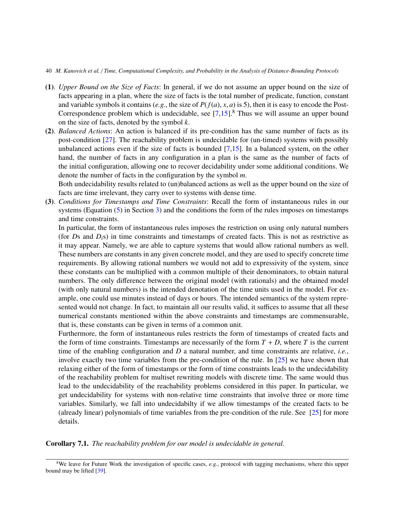- (1). *Upper Bound on the Size of Facts*: In general, if we do not assume an upper bound on the size of facts appearing in a plan, where the size of facts is the total number of predicate, function, constant and variable symbols it contains (*e.g.*, the size of  $P(f(a), x, a)$  is 5), then it is easy to encode the Post-Correspondence problem which is undecidable, see  $[7,15]$  $[7,15]$ .<sup>8</sup> Thus we will assume an upper bound on the size of facts, denoted by the symbol *k*.
- (2). *Balanced Actions*: An action is balanced if its pre-condition has the same number of facts as its post-condition [\[27\]](#page-45-15). The reachability problem is undecidable for (un-timed) systems with possibly unbalanced actions even if the size of facts is bounded  $[7,15]$  $[7,15]$ . In a balanced system, on the other hand, the number of facts in any configuration in a plan is the same as the number of facts of the initial configuration, allowing one to recover decidability under some additional conditions. We denote the number of facts in the configuration by the symbol *m*.

Both undecidability results related to (un)balanced actions as well as the upper bound on the size of facts are time irrelevant, they carry over to systems with dense time.

(3). *Conditions for Timestamps and Time Constraints*: Recall the form of instantaneous rules in our systems (Equation [\(5\)](#page-8-0) in Section [3\)](#page-7-0) and the conditions the form of the rules imposes on timestamps and time constraints.

In particular, the form of instantaneous rules imposes the restriction on using only natural numbers (for *D*s and *Di*s) in time constraints and timestamps of created facts. This is not as restrictive as it may appear. Namely, we are able to capture systems that would allow rational numbers as well. These numbers are constants in any given concrete model, and they are used to specify concrete time requirements. By allowing rational numbers we would not add to expressivity of the system, since these constants can be multiplied with a common multiple of their denominators, to obtain natural numbers. The only difference between the original model (with rationals) and the obtained model (with only natural numbers) is the intended denotation of the time units used in the model. For example, one could use minutes instead of days or hours. The intended semantics of the system represented would not change. In fact, to maintain all our results valid, it suffices to assume that all these numerical constants mentioned within the above constraints and timestamps are commensurable, that is, these constants can be given in terms of a common unit.

Furthermore, the form of instantaneous rules restricts the form of timestamps of created facts and the form of time constraints. Timestamps are necessarily of the form  $T + D$ , where  $T$  is the current time of the enabling configuration and *D* a natural number, and time constraints are relative, *i.e.*, involve exactly two time variables from the pre-condition of the rule. In [\[25\]](#page-45-6) we have shown that relaxing either of the form of timestamps or the form of time constraints leads to the undecidability of the reachability problem for multiset rewriting models with discrete time. The same would thus lead to the undecidability of the reachability problems considered in this paper. In particular, we get undecidability for systems with non-relative time constraints that involve three or more time variables. Similarly, we fall into undecidabilty if we allow timestamps of the created facts to be (already linear) polynomials of time variables from the pre-condition of the rule. See [\[25\]](#page-45-6) for more details.

Corollary 7.1. *The reachability problem for our model is undecidable in general.*

<sup>8</sup>We leave for Future Work the investigation of specific cases, *e.g.*, protocol with tagging mechanisms, where this upper bound may be lifted [\[39\]](#page-45-22).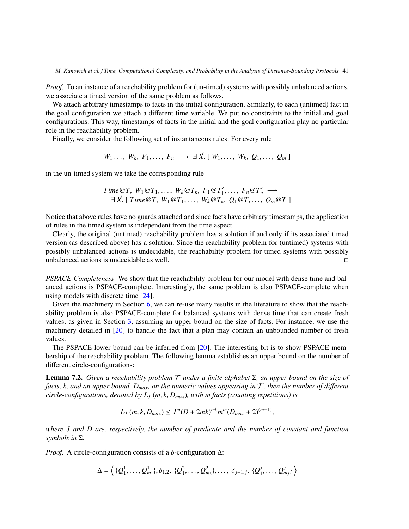*Proof.* To an instance of a reachability problem for (un-timed) systems with possibly unbalanced actions, we associate a timed version of the same problem as follows.

We attach arbitrary timestamps to facts in the initial configuration. Similarly, to each (untimed) fact in the goal configuration we attach a different time variable. We put no constraints to the initial and goal configurations. This way, timestamps of facts in the initial and the goal configuration play no particular role in the reachability problem.

Finally, we consider the following set of instantaneous rules: For every rule

$$
W_1 \ldots, W_k, F_1, \ldots, F_n \longrightarrow \exists \vec{X}. [W_1, \ldots, W_k, Q_1, \ldots, Q_m]
$$

in the un-timed system we take the corresponding rule

$$
Time@T, W_1@T_1, \ldots, W_k@T_k, F_1@T'_1, \ldots, F_n@T'_n \longrightarrow
$$
  

$$
\exists \vec{X}. [Time@T, W_1@T_1, \ldots, W_k@T_k, Q_1@T, \ldots, Q_m@T ]
$$

Notice that above rules have no guards attached and since facts have arbitrary timestamps, the application of rules in the timed system is independent from the time aspect.

Clearly, the original (untimed) reachability problem has a solution if and only if its associated timed version (as described above) has a solution. Since the reachability problem for (untimed) systems with possibly unbalanced actions is undecidable, the reachability problem for timed systems with possibly unbalanced actions is undecidable as well.

*PSPACE-Completeness* We show that the reachability problem for our model with dense time and balanced actions is PSPACE-complete. Interestingly, the same problem is also PSPACE-complete when using models with discrete time [\[24\]](#page-45-5).

Given the machinery in Section [6,](#page-28-0) we can re-use many results in the literature to show that the reachability problem is also PSPACE-complete for balanced systems with dense time that can create fresh values, as given in Section [3,](#page-7-0) assuming an upper bound on the size of facts. For instance, we use the machinery detailed in [\[20\]](#page-45-14) to handle the fact that a plan may contain an unbounded number of fresh values.

The PSPACE lower bound can be inferred from [\[20\]](#page-45-14). The interesting bit is to show PSPACE membership of the reachability problem. The following lemma establishes an upper bound on the number of different circle-configurations:

Lemma 7.2. *Given a reachability problem* T *under a finite alphabet* Σ*, an upper bound on the size of facts, k, and an upper bound, Dmax, on the numeric values appearing in* T*, then the number of di*ff*erent circle-configurations, denoted by*  $L_T(m, k, D_{max})$ *, with m facts (counting repetitions) is* 

$$
L_{\mathcal{T}}(m, k, D_{max}) \le J^{m}(D + 2mk)^{mk}m^{m}(D_{max} + 2)^{(m-1)},
$$

*where J and D are, respectively, the number of predicate and the number of constant and function symbols in* Σ*.*

*Proof.* A circle-configuration consists of a  $\delta$ -configuration  $\Delta$ :

$$
\Delta = \left\{ \{Q_1^1, \ldots, Q_{m_1}^1\}, \delta_{1,2}, \{Q_1^2, \ldots, Q_{m_2}^2\}, \ldots, \delta_{j-1,j}, \{Q_1^j, \ldots, Q_{m_j}^j\} \right\}
$$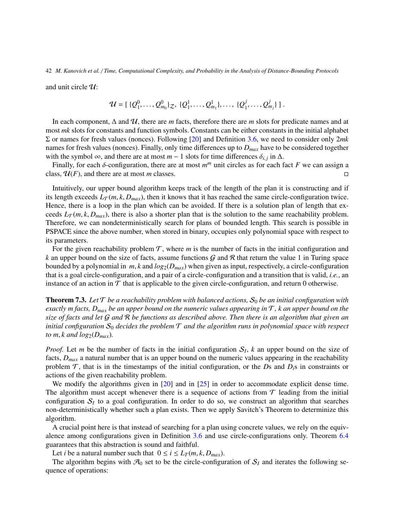and unit circle  $\mathcal{U}$ :

$$
\mathcal{U} = [\{Q_1^0,\ldots,Q_{m_0}^0\}_Z,\ \{Q_1^1,\ldots,Q_{m_1}^1\},\ldots,\ \{Q_1^j,\ldots,Q_{m_j}^j\}].
$$

In each component, ∆ and U, there are *m* facts, therefore there are *m* slots for predicate names and at most *mk* slots for constants and function symbols. Constants can be either constants in the initial alphabet Σ or names for fresh values (nonces). Following [\[20\]](#page-45-14) and Definition [3.6,](#page-12-1) we need to consider only 2*mk* names for fresh values (nonces). Finally, only time differences up to *Dmax* have to be considered together with the symbol ∞, and there are at most  $m-1$  slots for time differences  $\delta_{i,j}$  in  $\Delta$ .<br>Finally for each  $\delta$ -configuration, there are at most  $m^m$  unit circles as for each f

Finally, for each  $\delta$ -configuration, there are at most  $m^m$  unit circles as for each fact *F* we can assign a set  $\sigma$   $I(F)$  and there are at most *m* classes class,  $\mathcal{U}(F)$ , and there are at most *m* classes.

Intuitively, our upper bound algorithm keeps track of the length of the plan it is constructing and if its length exceeds  $L_T(m, k, D_{max})$ , then it knows that it has reached the same circle-configuration twice. Hence, there is a loop in the plan which can be avoided. If there is a solution plan of length that exceeds  $L_{\mathcal{T}}(m, k, D_{max})$ , there is also a shorter plan that is the solution to the same reachability problem. Therefore, we can nondeterministically search for plans of bounded length. This search is possible in PSPACE since the above number, when stored in binary, occupies only polynomial space with respect to its parameters.

For the given reachability problem  $\mathcal T$ , where *m* is the number of facts in the initial configuration and *k* an upper bound on the size of facts, assume functions  $G$  and  $R$  that return the value 1 in Turing space bounded by a polynomial in  $m$ ,  $k$  and  $log_2(D_{max})$  when given as input, respectively, a circle-configuration that is a goal circle-configuration, and a pair of a circle-configuration and a transition that is valid, *i.e.*, an instance of an action in  $\mathcal T$  that is applicable to the given circle-configuration, and return 0 otherwise.

**Theorem 7.3.** Let T be a reachability problem with balanced actions,  $S_0$  be an initial configuration with *exactly m facts,*  $D_{max}$  *be an upper bound on the numeric values appearing in*  $\mathcal{T}$ *, k an upper bound on the size of facts and let* G *and* R *be functions as described above. Then there is an algorithm that given an initial configuration*  $S_0$  *decides the problem*  $\mathcal T$  *and the algorithm runs in polynomial space with respect to m, k and*  $log_2(D_{max})$ *.* 

*Proof.* Let *m* be the number of facts in the initial configuration  $S_I$ , *k* an upper bound on the size of facts, *Dmax* a natural number that is an upper bound on the numeric values appearing in the reachability problem  $\mathcal{T}$ , that is in the timestamps of the initial configuration, or the *Ds* and  $D_i$ s in constraints or actions of the given reachability problem.

We modify the algorithms given in [\[20\]](#page-45-14) and in [\[25\]](#page-45-6) in order to accommodate explicit dense time. The algorithm must accept whenever there is a sequence of actions from  $\mathcal T$  leading from the initial configuration  $S_I$  to a goal configuration. In order to do so, we construct an algorithm that searches non-deterministically whether such a plan exists. Then we apply Savitch's Theorem to determinize this algorithm.

A crucial point here is that instead of searching for a plan using concrete values, we rely on the equivalence among configurations given in Definition [3.6](#page-12-1) and use circle-configurations only. Theorem [6.4](#page-38-1) guarantees that this abstraction is sound and faithful.

Let *i* be a natural number such that  $0 \le i \le L_T(m, k, D_{max})$ .

The algorithm begins with  $\mathcal{A}_0$  set to be the circle-configuration of  $\mathcal{S}_I$  and iterates the following sequence of operations: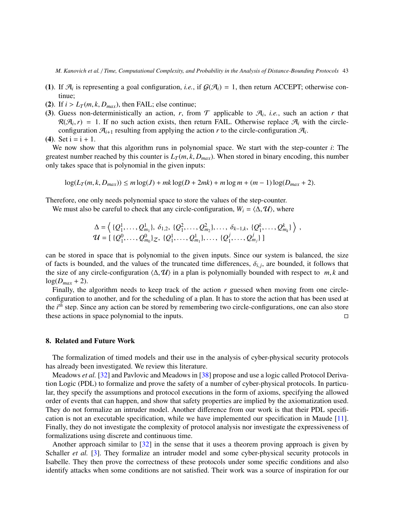- (1). If  $\mathcal{A}_i$  is representing a goal configuration, *i.e.*, if  $\mathcal{G}(\mathcal{A}_i) = 1$ , then return ACCEPT; otherwise continue;
- (2). If  $i > L_T(m, k, D_{max})$ , then FAIL; else continue;
- (3). Guess non-deterministically an action, *r*, from  $T$  applicable to  $\mathcal{A}_i$ , *i.e.*, such an action *r* that  $R(\mathcal{A}_i, r) = 1$ . If no such action exists, then return FAIL. Otherwise replace  $\mathcal{A}_i$  with the circle-configuration  $\mathcal{A}_i$ , resulting from applying the action *r* to the circle-configuration  $\mathcal{A}_i$ . configuration  $\mathcal{A}_{i+1}$  resulting from applying the action *r* to the circle-configuration  $\mathcal{A}_i$ .

We now show that this algorithm runs in polynomial space. We start with the step-counter *i*: The greatest number reached by this counter is  $L_T(m, k, D_{max})$ . When stored in binary encoding, this number only takes space that is polynomial in the given inputs:

log(*L<sup>T</sup>* (*m*, *<sup>k</sup>*, *<sup>D</sup>max*)) <sup>≤</sup> *<sup>m</sup>* log(*J*) <sup>+</sup> *mk* log(*<sup>D</sup>* <sup>+</sup> <sup>2</sup>*mk*) <sup>+</sup> *<sup>m</sup>* log *<sup>m</sup>* <sup>+</sup> (*<sup>m</sup>* <sup>−</sup> 1) log(*Dmax* <sup>+</sup> 2).

Therefore, one only needs polynomial space to store the values of the step-counter.

We must also be careful to check that any circle-configuration,  $W_i = \langle \Delta, \mathcal{U} \rangle$ , where

$$
\Delta = \left\{ \{Q_1^1, \ldots, Q_{m_1}^1\}, \delta_{1,2}, \{Q_1^2, \ldots, Q_{m_2}^2\}, \ldots, \delta_{k-1,k}, \{Q_1^k, \ldots, Q_{m_k}^k\} \right\},
$$
  

$$
\mathcal{U} = [\{Q_1^0, \ldots, Q_{m_0}^0\}_Z, \{Q_1^1, \ldots, Q_{m_1}^1\}, \ldots, \{Q_1^j, \ldots, Q_{m_j}^j\}]
$$

can be stored in space that is polynomial to the given inputs. Since our system is balanced, the size of facts is bounded, and the values of the truncated time differences,  $\delta_{i,j}$ , are bounded, it follows that the size of any circle-configuration  $(\Delta \mathcal{A})$  in a plan is polynomially bounded with respect to *m* k and the size of any circle-configuration  $\langle \Delta, \mathcal{U} \rangle$  in a plan is polynomially bounded with respect to *m*, *k* and  $log(D_{max} + 2)$ .

Finally, the algorithm needs to keep track of the action *r* guessed when moving from one circleconfiguration to another, and for the scheduling of a plan. It has to store the action that has been used at the *i th* step. Since any action can be stored by remembering two circle-configurations, one can also store these actions in space polynomial to the inputs.  $\Box$ 

# <span id="page-42-0"></span>8. Related and Future Work

The formalization of timed models and their use in the analysis of cyber-physical security protocols has already been investigated. We review this literature.

Meadows *et al.* [\[32\]](#page-45-1) and Pavlovic and Meadows in [\[38\]](#page-45-23) propose and use a logic called Protocol Derivation Logic (PDL) to formalize and prove the safety of a number of cyber-physical protocols. In particular, they specify the assumptions and protocol executions in the form of axioms, specifying the allowed order of events that can happen, and show that safety properties are implied by the axiomatization used. They do not formalize an intruder model. Another difference from our work is that their PDL specification is not an executable specification, while we have implemented our specification in Maude [\[11\]](#page-44-9). Finally, they do not investigate the complexity of protocol analysis nor investigate the expressiveness of formalizations using discrete and continuous time.

Another approach similar to [\[32\]](#page-45-1) in the sense that it uses a theorem proving approach is given by Schaller *et al.* [\[3\]](#page-44-2). They formalize an intruder model and some cyber-physical security protocols in Isabelle. They then prove the correctness of these protocols under some specific conditions and also identify attacks when some conditions are not satisfied. Their work was a source of inspiration for our

<sup>(4).</sup> Set  $i = i + 1$ .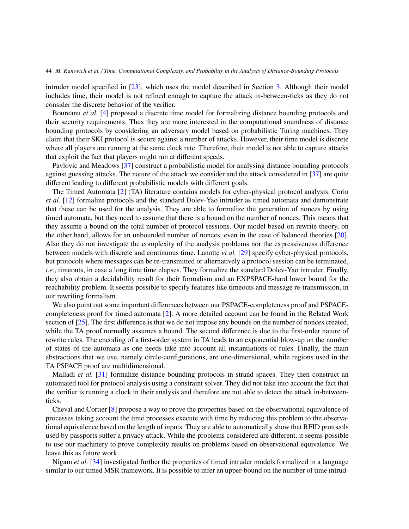intruder model specified in [\[23\]](#page-45-17), which uses the model described in Section [3.](#page-7-0) Although their model includes time, their model is not refined enough to capture the attack in-between-ticks as they do not consider the discrete behavior of the verifier.

Boureanu *et al.* [\[4\]](#page-44-4) proposed a discrete time model for formalizing distance bounding protocols and their security requirements. Thus they are more interested in the computational soundness of distance bounding protocols by considering an adversary model based on probabilistic Turing machines. They claim that their SKI protocol is secure against a number of attacks. However, their time model is discrete where all players are running at the same clock rate. Therefore, their model is not able to capture attacks that exploit the fact that players might run at different speeds.

Pavlovic and Meadows [\[37\]](#page-45-24) construct a probabilistic model for analysing distance bounding protocols against guessing attacks. The nature of the attack we consider and the attack considered in [\[37\]](#page-45-24) are quite different leading to different probabilistic models with different goals.

The Timed Automata [\[2\]](#page-44-7) (TA) literature contains models for cyber-physical protocol analysis. Corin *et al.* [\[12\]](#page-44-10) formalize protocols and the standard Dolev-Yao intruder as timed automata and demonstrate that these can be used for the analysis. They are able to formalize the generation of nonces by using timed automata, but they need to assume that there is a bound on the number of nonces. This means that they assume a bound on the total number of protocol sessions. Our model based on rewrite theory, on the other hand, allows for an unbounded number of nonces, even in the case of balanced theories [\[20\]](#page-45-14). Also they do not investigate the complexity of the analysis problems nor the expressiveness difference between models with discrete and continuous time. Lanotte *et al.* [\[29\]](#page-45-25) specify cyber-physical protocols, but protocols where messages can be re-transmitted or alternatively a protocol session can be terminated, *i.e.*, timeouts, in case a long time time elapses. They formalize the standard Dolev-Yao intruder. Finally, they also obtain a decidability result for their formalism and an EXPSPACE-hard lower bound for the reachability problem. It seems possible to specify features like timeouts and message re-transmission, in our rewriting formalism.

We also point out some important differences between our PSPACE-completeness proof and PSPACEcompleteness proof for timed automata [\[2\]](#page-44-7). A more detailed account can be found in the Related Work section of [\[25\]](#page-45-6). The first difference is that we do not impose any bounds on the number of nonces created, while the TA proof normally assumes a bound. The second difference is due to the first-order nature of rewrite rules. The encoding of a first-order system in TA leads to an exponential blow-up on the number of states of the automata as one needs take into account all instantiations of rules. Finally, the main abstractions that we use, namely circle-configurations, are one-dimensional, while regions used in the TA PSPACE proof are multidimensional.

Malladi *et al.* [\[31\]](#page-45-26) formalize distance bounding protocols in strand spaces. They then construct an automated tool for protocol analysis using a constraint solver. They did not take into account the fact that the verifier is running a clock in their analysis and therefore are not able to detect the attack in-betweenticks.

Cheval and Cortier [\[8\]](#page-44-11) propose a way to prove the properties based on the observational equivalence of processes taking account the time processes execute with time by reducing this problem to the observational equivalence based on the length of inputs. They are able to automatically show that RFID protocols used by passports suffer a privacy attack. While the problems considered are different, it seems possible to use our machinery to prove complexity results on problems based on observational equivalence. We leave this as future work.

Nigam *et al.* [\[34\]](#page-45-20) investigated further the properties of timed intruder models formalized in a language similar to our timed MSR framework. It is possible to infer an upper-bound on the number of time intrud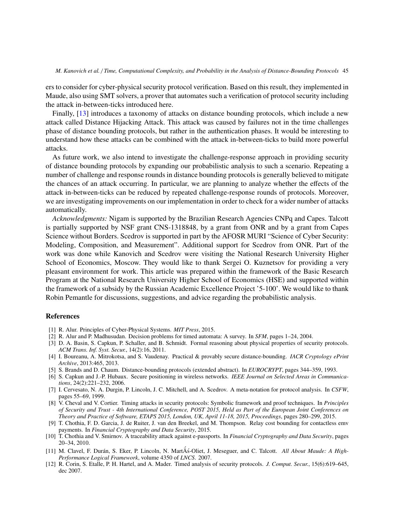ers to consider for cyber-physical security protocol verification. Based on this result, they implemented in Maude, also using SMT solvers, a prover that automates such a verification of protocol security including the attack in-between-ticks introduced here.

Finally, [\[13\]](#page-45-2) introduces a taxonomy of attacks on distance bounding protocols, which include a new attack called Distance Hijacking Attack. This attack was caused by failures not in the time challenges phase of distance bounding protocols, but rather in the authentication phases. It would be interesting to understand how these attacks can be combined with the attack in-between-ticks to build more powerful attacks.

As future work, we also intend to investigate the challenge-response approach in providing security of distance bounding protocols by expanding our probabilistic analysis to such a scenario. Repeating a number of challenge and response rounds in distance bounding protocols is generally believed to mitigate the chances of an attack occurring. In particular, we are planning to analyze whether the effects of the attack in-between-ticks can be reduced by repeated challenge-response rounds of protocols. Moreover, we are investigating improvements on our implementation in order to check for a wider number of attacks automatically.

*Acknowledgments:* Nigam is supported by the Brazilian Research Agencies CNPq and Capes. Talcott is partially supported by NSF grant CNS-1318848, by a grant from ONR and by a grant from Capes Science without Borders. Scedrov is supported in part by the AFOSR MURI "Science of Cyber Security: Modeling, Composition, and Measurement". Additional support for Scedrov from ONR. Part of the work was done while Kanovich and Scedrov were visiting the National Research University Higher School of Economics, Moscow. They would like to thank Sergei O. Kuznetsov for providing a very pleasant environment for work. This article was prepared within the framework of the Basic Research Program at the National Research University Higher School of Economics (HSE) and supported within the framework of a subsidy by the Russian Academic Excellence Project '5-100'. We would like to thank Robin Pemantle for discussions, suggestions, and advice regarding the probabilistic analysis.

# References

- <span id="page-44-8"></span>[1] R. Alur. Principles of Cyber-Physical Systems. *MIT Press*, 2015.
- <span id="page-44-7"></span>[2] R. Alur and P. Madhusudan. Decision problems for timed automata: A survey. In *SFM*, pages 1–24, 2004.
- <span id="page-44-2"></span>[3] D. A. Basin, S. Capkun, P. Schaller, and B. Schmidt. Formal reasoning about physical properties of security protocols. *ACM Trans. Inf. Syst. Secur.*, 14(2):16, 2011.
- <span id="page-44-4"></span>[4] I. Boureanu, A. Mitrokotsa, and S. Vaudenay. Practical & provably secure distance-bounding. *IACR Cryptology ePrint Archive*, 2013:465, 2013.
- <span id="page-44-0"></span>[5] S. Brands and D. Chaum. Distance-bounding protocols (extended abstract). In *EUROCRYPT*, pages 344–359, 1993.
- <span id="page-44-1"></span>[6] S. Capkun and J.-P. Hubaux. Secure positioning in wireless networks. *IEEE Journal on Selected Areas in Communications*, 24(2):221–232, 2006.
- <span id="page-44-3"></span>[7] I. Cervesato, N. A. Durgin, P. Lincoln, J. C. Mitchell, and A. Scedrov. A meta-notation for protocol analysis. In *CSFW*, pages 55–69, 1999.
- <span id="page-44-11"></span>[8] V. Cheval and V. Cortier. Timing attacks in security protocols: Symbolic framework and proof techniques. In *Principles of Security and Trust - 4th International Conference, POST 2015, Held as Part of the European Joint Conferences on Theory and Practice of Software, ETAPS 2015, London, UK, April 11-18, 2015, Proceedings*, pages 280–299, 2015.
- <span id="page-44-5"></span>[9] T. Chothia, F. D. Garcia, J. de Ruiter, J. van den Breekel, and M. Thompson. Relay cost bounding for contactless emv payments. In *Financial Cryptography and Data Security*, 2015.
- <span id="page-44-6"></span>[10] T. Chothia and V. Smirnov. A traceability attack against e-passports. In *Financial Cryptography and Data Security*, pages 20–34, 2010.
- <span id="page-44-9"></span>[11] M. Clavel, F. Durán, S. Eker, P. Lincoln, N. Mart Ás-Oliet, J. Meseguer, and C. Talcott. All About Maude: A High-*Performance Logical Framework*, volume 4350 of *LNCS*. 2007.
- <span id="page-44-10"></span>[12] R. Corin, S. Etalle, P. H. Hartel, and A. Mader. Timed analysis of security protocols. *J. Comput. Secur.*, 15(6):619–645, dec 2007.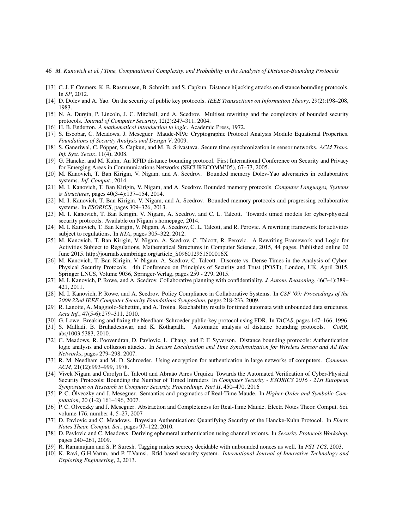- 46 *M. Kanovich et al.* / *Time, Computational Complexity, and Probability in the Analysis of Distance-Bounding Protocols*
- <span id="page-45-2"></span>[13] C. J. F. Cremers, K. B. Rasmussen, B. Schmidt, and S. Capkun. Distance hijacking attacks on distance bounding protocols. In *SP*, 2012.
- <span id="page-45-3"></span>[14] D. Dolev and A. Yao. On the security of public key protocols. *IEEE Transactions on Information Theory*, 29(2):198–208, 1983.
- <span id="page-45-4"></span>[15] N. A. Durgin, P. Lincoln, J. C. Mitchell, and A. Scedrov. Multiset rewriting and the complexity of bounded security protocols. *Journal of Computer Security*, 12(2):247–311, 2004.
- <span id="page-45-13"></span>[16] H. B. Enderton. *A mathematical introduction to logic*. Academic Press, 1972.
- [17] S. Escobar, C. Meadows, J. Meseguer Maude-NPA: Cryptographic Protocol Analysis Modulo Equational Properties. *Foundations of Security Analysis and Design V*, 2009.
- <span id="page-45-0"></span>[18] S. Ganeriwal, C. Pöpper, S. Capkun, and M. B. Srivastava. Secure time synchronization in sensor networks. *ACM Trans. Inf. Syst. Secur.*, 11(4), 2008.
- <span id="page-45-12"></span>[19] G. Hancke, and M. Kuhn, An RFID distance bounding protocol. First International Conference on Security and Privacy for Emerging Areas in Communications Networks (SECURECOMM'05), 67–73, 2005.
- <span id="page-45-14"></span>[20] M. Kanovich, T. Ban Kirigin, V. Nigam, and A. Scedrov. Bounded memory Dolev-Yao adversaries in collaborative systems. *Inf. Comput.*, 2014.
- <span id="page-45-21"></span>[21] M. I. Kanovich, T. Ban Kirigin, V. Nigam, and A. Scedrov. Bounded memory protocols. *Computer Languages, Systems* & *Structures*, pages 40(3-4):137–154, 2014.
- <span id="page-45-7"></span>[22] M. I. Kanovich, T. Ban Kirigin, V. Nigam, and A. Scedrov. Bounded memory protocols and progressing collaborative systems. In *ESORICS*, pages 309–326, 2013.
- <span id="page-45-17"></span>[23] M. I. Kanovich, T. Ban Kirigin, V. Nigam, A. Scedrov, and C. L. Talcott. Towards timed models for cyber-physical security protocols. Available on Nigam's homepage, 2014.
- <span id="page-45-5"></span>[24] M. I. Kanovich, T. Ban Kirigin, V. Nigam, A. Scedrov, C. L. Talcott, and R. Perovic. A rewriting framework for activities subject to regulations. In *RTA*, pages 305–322, 2012.
- <span id="page-45-6"></span>[25] M. Kanovich, T. Ban Kirigin, V. Nigam, A. Scedrov, C. Talcott, R. Perovic. A Rewriting Framework and Logic for Activities Subject to Regulations, Mathematical Structures in Computer Science, 2015, 44 pages, Published online 02 June 2015. http://journals.cambridge.org/article\_S096012951500016X
- <span id="page-45-8"></span>[26] M. Kanovich, T. Ban Kirigin, V. Nigam, A. Scedrov, C. Talcott. Discrete vs. Dense Times in the Analysis of Cyber-Physical Security Protocols. 4th Conference on Principles of Security and Trust (POST), London, UK, April 2015. Springer LNCS, Volume 9036, Springer-Verlag, pages 259 - 279, 2015.
- <span id="page-45-15"></span>[27] M. I. Kanovich, P. Rowe, and A. Scedrov. Collaborative planning with confidentiality. *J. Autom. Reasoning*, 46(3-4):389– 421, 2011.
- <span id="page-45-16"></span>[28] M. I. Kanovich, P. Rowe, and A. Scedrov. Policy Compliance in Collaborative Systems. In *CSF '09: Proceedings of the 2009 22nd IEEE Computer Security Foundations Symposium*, pages 218-233, 2009.
- <span id="page-45-25"></span>[29] R. Lanotte, A. Maggiolo-Schettini, and A. Troina. Reachability results for timed automata with unbounded data structures. *Acta Inf.*, 47(5-6):279–311, 2010.
- <span id="page-45-10"></span>[30] G. Lowe. Breaking and fixing the Needham-Schroeder public-key protocol using FDR. In *TACAS*, pages 147–166, 1996.
- <span id="page-45-26"></span>[31] S. Malladi, B. Bruhadeshwar, and K. Kothapalli. Automatic analysis of distance bounding protocols. *CoRR*, abs/1003.5383, 2010.
- <span id="page-45-1"></span>[32] C. Meadows, R. Poovendran, D. Pavlovic, L. Chang, and P. F. Syverson. Distance bounding protocols: Authentication logic analysis and collusion attacks. In *Secure Localization and Time Synchronization for Wireless Sensor and Ad Hoc Networks*, pages 279–298. 2007.
- <span id="page-45-9"></span>[33] R. M. Needham and M. D. Schroeder. Using encryption for authentication in large networks of computers. *Commun. ACM*, 21(12):993–999, 1978.
- <span id="page-45-20"></span>[34] Vivek Nigam and Carolyn L. Talcott and Abraão Aires Urquiza Towards the Automated Verification of Cyber-Physical Security Protocols: Bounding the Number of Timed Intruders In *Computer Security - ESORICS 2016 - 21st European Symposium on Research in Computer Security, Proceedings, Part II*, 450–470, 2016
- <span id="page-45-18"></span>[35] P. C. Ölveczky and J. Meseguer. Semantics and pragmatics of Real-Time Maude. In *Higher-Order and Symbolic Computation*, 20 (1-2) 161–196, 2007.
- <span id="page-45-19"></span>[36] P. C. Ölveczky and J. Meseguer. Abstraction and Completeness for Real-Time Maude. Electr. Notes Theor. Comput. Sci. volume 176, number 4, 5–27, 2007
- <span id="page-45-24"></span>[37] D. Pavlovic and C. Meadows. Bayesian Authentication: Quantifying Security of the Hancke-Kuhn Protocol. In *Electr. Notes Theor. Comput. Sci.*, pages 97–122, 2010.
- <span id="page-45-23"></span>[38] D. Pavlovic and C. Meadows. Deriving ephemeral authentication using channel axioms. In *Security Protocols Workshop*, pages 240–261, 2009.
- <span id="page-45-22"></span>[39] R. Ramanujam and S. P. Suresh. Tagging makes secrecy decidable with unbounded nonces as well. In *FST TCS*, 2003.
- <span id="page-45-11"></span>[40] K. Ravi, G.H.Varun, and P. T.Vamsi. Rfid based security system. *International Journal of Innovative Technology and Exploring Engineering*, 2, 2013.